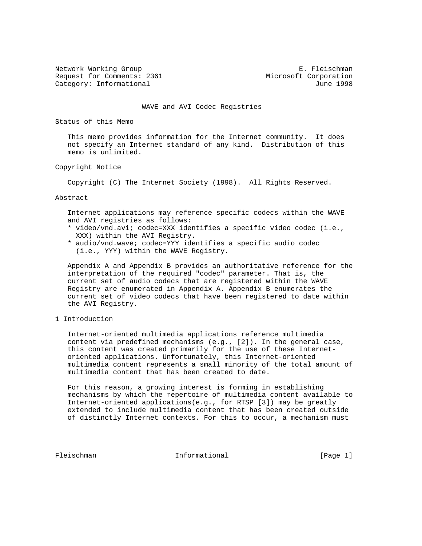Request for Comments: 2361 Microsoft Corporation Category: Informational and Category: Informational and Category: June 1998

Network Working Group **E. Fleischman** 

WAVE and AVI Codec Registries

Status of this Memo

 This memo provides information for the Internet community. It does not specify an Internet standard of any kind. Distribution of this memo is unlimited.

### Copyright Notice

Copyright (C) The Internet Society (1998). All Rights Reserved.

### Abstract

 Internet applications may reference specific codecs within the WAVE and AVI registries as follows:

- \* video/vnd.avi; codec=XXX identifies a specific video codec (i.e., XXX) within the AVI Registry.
- \* audio/vnd.wave; codec=YYY identifies a specific audio codec (i.e., YYY) within the WAVE Registry.

 Appendix A and Appendix B provides an authoritative reference for the interpretation of the required "codec" parameter. That is, the current set of audio codecs that are registered within the WAVE Registry are enumerated in Appendix A. Appendix B enumerates the current set of video codecs that have been registered to date within the AVI Registry.

1 Introduction

 Internet-oriented multimedia applications reference multimedia content via predefined mechanisms (e.g., [2]). In the general case, this content was created primarily for the use of these Internet oriented applications. Unfortunately, this Internet-oriented multimedia content represents a small minority of the total amount of multimedia content that has been created to date.

 For this reason, a growing interest is forming in establishing mechanisms by which the repertoire of multimedia content available to Internet-oriented applications(e.g., for RTSP [3]) may be greatly extended to include multimedia content that has been created outside of distinctly Internet contexts. For this to occur, a mechanism must

Fleischman 10 Informational [Page 1]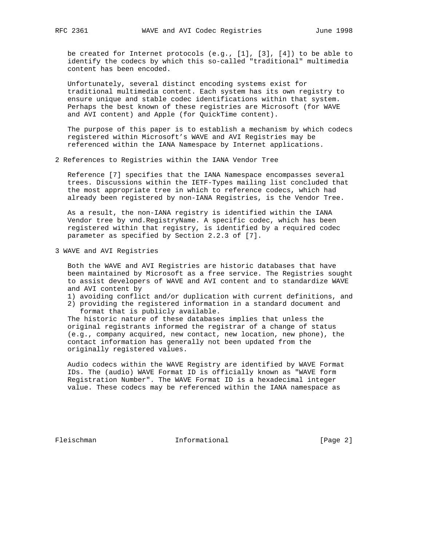be created for Internet protocols (e.g., [1], [3], [4]) to be able to identify the codecs by which this so-called "traditional" multimedia content has been encoded.

 Unfortunately, several distinct encoding systems exist for traditional multimedia content. Each system has its own registry to ensure unique and stable codec identifications within that system. Perhaps the best known of these registries are Microsoft (for WAVE and AVI content) and Apple (for QuickTime content).

 The purpose of this paper is to establish a mechanism by which codecs registered within Microsoft's WAVE and AVI Registries may be referenced within the IANA Namespace by Internet applications.

2 References to Registries within the IANA Vendor Tree

 Reference [7] specifies that the IANA Namespace encompasses several trees. Discussions within the IETF-Types mailing list concluded that the most appropriate tree in which to reference codecs, which had already been registered by non-IANA Registries, is the Vendor Tree.

 As a result, the non-IANA registry is identified within the IANA Vendor tree by vnd.RegistryName. A specific codec, which has been registered within that registry, is identified by a required codec parameter as specified by Section 2.2.3 of [7].

3 WAVE and AVI Registries

 Both the WAVE and AVI Registries are historic databases that have been maintained by Microsoft as a free service. The Registries sought to assist developers of WAVE and AVI content and to standardize WAVE and AVI content by

- 1) avoiding conflict and/or duplication with current definitions, and
- 2) providing the registered information in a standard document and format that is publicly available.

 The historic nature of these databases implies that unless the original registrants informed the registrar of a change of status (e.g., company acquired, new contact, new location, new phone), the contact information has generally not been updated from the originally registered values.

 Audio codecs within the WAVE Registry are identified by WAVE Format IDs. The (audio) WAVE Format ID is officially known as "WAVE form Registration Number". The WAVE Format ID is a hexadecimal integer value. These codecs may be referenced within the IANA namespace as

Fleischman Informational [Page 2]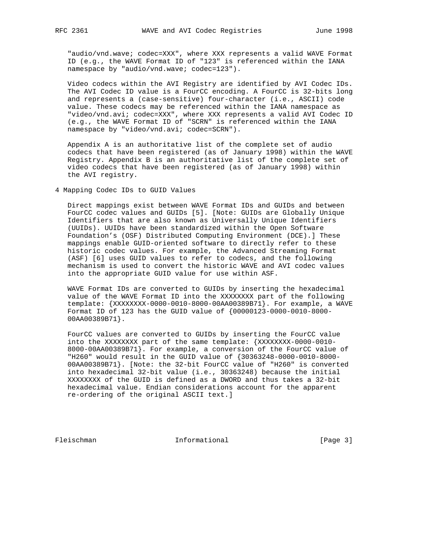"audio/vnd.wave; codec=XXX", where XXX represents a valid WAVE Format ID (e.g., the WAVE Format ID of "123" is referenced within the IANA namespace by "audio/vnd.wave; codec=123").

 Video codecs within the AVI Registry are identified by AVI Codec IDs. The AVI Codec ID value is a FourCC encoding. A FourCC is 32-bits long and represents a (case-sensitive) four-character (i.e., ASCII) code value. These codecs may be referenced within the IANA namespace as "video/vnd.avi; codec=XXX", where XXX represents a valid AVI Codec ID (e.g., the WAVE Format ID of "SCRN" is referenced within the IANA namespace by "video/vnd.avi; codec=SCRN").

 Appendix A is an authoritative list of the complete set of audio codecs that have been registered (as of January 1998) within the WAVE Registry. Appendix B is an authoritative list of the complete set of video codecs that have been registered (as of January 1998) within the AVI registry.

4 Mapping Codec IDs to GUID Values

 Direct mappings exist between WAVE Format IDs and GUIDs and between FourCC codec values and GUIDs [5]. [Note: GUIDs are Globally Unique Identifiers that are also known as Universally Unique Identifiers (UUIDs). UUIDs have been standardized within the Open Software Foundation's (OSF) Distributed Computing Environment (DCE).] These mappings enable GUID-oriented software to directly refer to these historic codec values. For example, the Advanced Streaming Format (ASF) [6] uses GUID values to refer to codecs, and the following mechanism is used to convert the historic WAVE and AVI codec values into the appropriate GUID value for use within ASF.

 WAVE Format IDs are converted to GUIDs by inserting the hexadecimal value of the WAVE Format ID into the XXXXXXXX part of the following template: {XXXXXXXX-0000-0010-8000-00AA00389B71}. For example, a WAVE Format ID of 123 has the GUID value of {00000123-0000-0010-8000- 00AA00389B71}.

 FourCC values are converted to GUIDs by inserting the FourCC value into the XXXXXXXX part of the same template: {XXXXXXXX-0000-0010- 8000-00AA00389B71}. For example, a conversion of the FourCC value of "H260" would result in the GUID value of {30363248-0000-0010-8000- 00AA00389B71}. [Note: the 32-bit FourCC value of "H260" is converted into hexadecimal 32-bit value (i.e., 30363248) because the initial XXXXXXXX of the GUID is defined as a DWORD and thus takes a 32-bit hexadecimal value. Endian considerations account for the apparent re-ordering of the original ASCII text.]

Fleischman Informational [Page 3]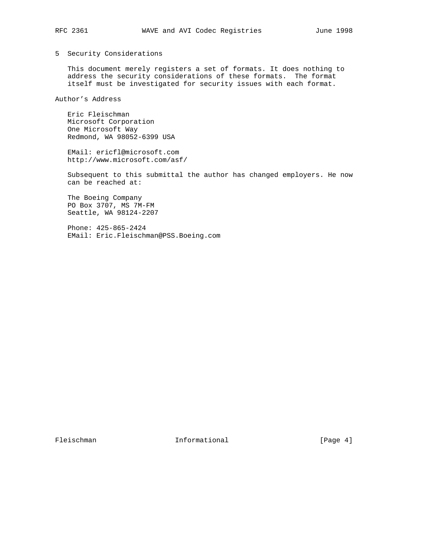## 5 Security Considerations

 This document merely registers a set of formats. It does nothing to address the security considerations of these formats. The format itself must be investigated for security issues with each format.

Author's Address

 Eric Fleischman Microsoft Corporation One Microsoft Way Redmond, WA 98052-6399 USA

 EMail: ericfl@microsoft.com http://www.microsoft.com/asf/

 Subsequent to this submittal the author has changed employers. He now can be reached at:

 The Boeing Company PO Box 3707, MS 7M-FM Seattle, WA 98124-2207

 Phone: 425-865-2424 EMail: Eric.Fleischman@PSS.Boeing.com

Fleischman Informational [Page 4]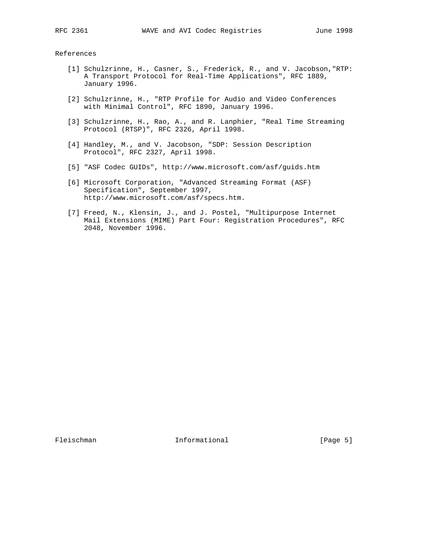#### References

- [1] Schulzrinne, H., Casner, S., Frederick, R., and V. Jacobson,"RTP: A Transport Protocol for Real-Time Applications", RFC 1889, January 1996.
- [2] Schulzrinne, H., "RTP Profile for Audio and Video Conferences with Minimal Control", RFC 1890, January 1996.
- [3] Schulzrinne, H., Rao, A., and R. Lanphier, "Real Time Streaming Protocol (RTSP)", RFC 2326, April 1998.
- [4] Handley, M., and V. Jacobson, "SDP: Session Description Protocol", RFC 2327, April 1998.
- [5] "ASF Codec GUIDs", http://www.microsoft.com/asf/guids.htm
- [6] Microsoft Corporation, "Advanced Streaming Format (ASF) Specification", September 1997, http://www.microsoft.com/asf/specs.htm.
- [7] Freed, N., Klensin, J., and J. Postel, "Multipurpose Internet Mail Extensions (MIME) Part Four: Registration Procedures", RFC 2048, November 1996.

Fleischman 10 Informational [Page 5]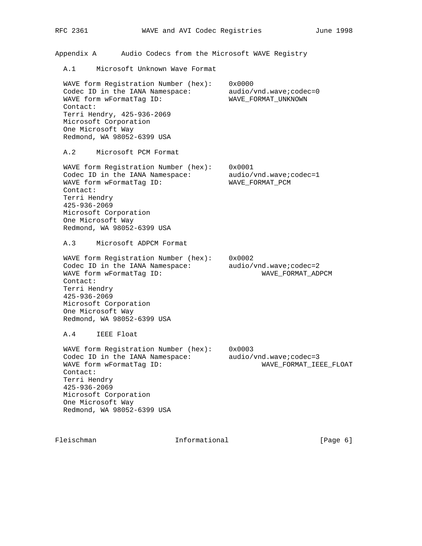Appendix A Audio Codecs from the Microsoft WAVE Registry

A.1 Microsoft Unknown Wave Format

 WAVE form Registration Number (hex): 0x0000 Codec ID in the IANA Namespace: audio/vnd.wave;codec=0 WAVE form wFormatTag ID: WAVE\_FORMAT\_UNKNOWN Contact: Terri Hendry, 425-936-2069 Microsoft Corporation One Microsoft Way Redmond, WA 98052-6399 USA

A.2 Microsoft PCM Format

 WAVE form Registration Number (hex): 0x0001 Codec ID in the IANA Namespace: audio/vnd.wave;codec=1 WAVE form wFormatTag ID: WAVE\_FORMAT\_PCM Contact: Terri Hendry 425-936-2069 Microsoft Corporation One Microsoft Way Redmond, WA 98052-6399 USA

A.3 Microsoft ADPCM Format

 WAVE form Registration Number (hex): 0x0002 Codec ID in the IANA Namespace: audio/vnd.wave;codec=2 WAVE form wFormatTag ID: WAVE\_FORMAT\_ADPCM Contact: Terri Hendry 425-936-2069 Microsoft Corporation One Microsoft Way Redmond, WA 98052-6399 USA

A.4 IEEE Float

 WAVE form Registration Number (hex): 0x0003 Codec ID in the IANA Namespace: audio/vnd.wave;codec=3 WAVE form wFormatTag ID: WAVE\_FORMAT\_IEEE\_FLOAT Contact: Terri Hendry 425-936-2069 Microsoft Corporation One Microsoft Way Redmond, WA 98052-6399 USA

Fleischman 1nformational [Page 6]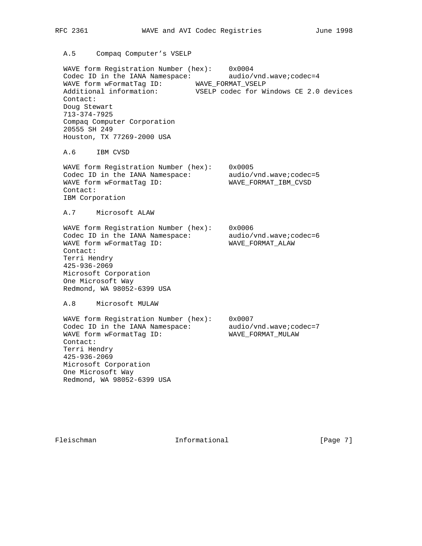A.5 Compaq Computer's VSELP

 WAVE form Registration Number (hex): 0x0004 Codec ID in the IANA Namespace: audio/vnd.wave;codec=4 WAVE form wFormatTag ID: WAVE\_FORMAT\_VSELP Additional information: VSELP codec for Windows CE 2.0 devices Contact: Doug Stewart 713-374-7925 Compaq Computer Corporation 20555 SH 249 Houston, TX 77269-2000 USA

A.6 IBM CVSD

 WAVE form Registration Number (hex): 0x0005 Codec ID in the IANA Namespace: audio/vnd.wave;codec=5 WAVE form wFormatTag ID: WAVE\_FORMAT\_IBM\_CVSD Contact: IBM Corporation

A.7 Microsoft ALAW

 WAVE form Registration Number (hex): 0x0006 Codec ID in the IANA Namespace: audio/vnd.wave;codec=6 WAVE form wFormatTag ID: WAVE\_FORMAT\_ALAW Contact: Terri Hendry 425-936-2069 Microsoft Corporation One Microsoft Way Redmond, WA 98052-6399 USA

A.8 Microsoft MULAW

 WAVE form Registration Number (hex): 0x0007 Codec ID in the IANA Namespace: audio/vnd.wave;codec=7 WAVE form wFormatTag ID: WAVE\_FORMAT\_MULAW Contact: Terri Hendry 425-936-2069 Microsoft Corporation One Microsoft Way Redmond, WA 98052-6399 USA

Fleischman Informational [Page 7]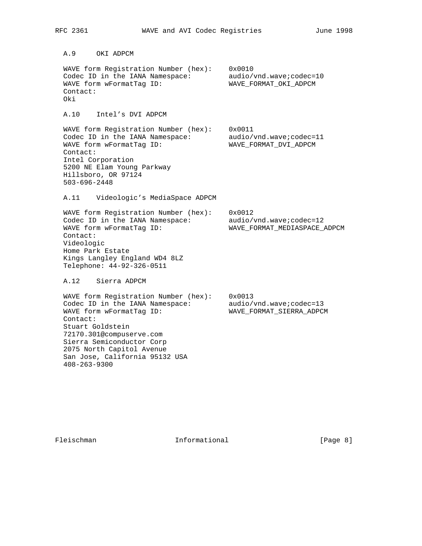A.9 OKI ADPCM WAVE form Registration Number (hex): 0x0010 Codec ID in the IANA Namespace: audio/vnd.wave;codec=10 WAVE form wFormatTag ID: WAVE\_FORMAT\_OKI\_ADPCM Contact: Oki A.10 Intel's DVI ADPCM WAVE form Registration Number (hex): 0x0011 Codec ID in the IANA Namespace: audio/vnd.wave;codec=11 WAVE form wFormatTag ID: WAVE\_FORMAT\_DVI\_ADPCM Contact: Intel Corporation 5200 NE Elam Young Parkway Hillsboro, OR 97124 503-696-2448 A.11 Videologic's MediaSpace ADPCM WAVE form Registration Number (hex): 0x0012 Codec ID in the IANA Namespace: audio/vnd.wave;codec=12 WAVE form wFormatTag ID: WAVE\_FORMAT\_MEDIASPACE\_ADPCM Contact: Videologic Home Park Estate Kings Langley England WD4 8LZ Telephone: 44-92-326-0511 A.12 Sierra ADPCM WAVE form Registration Number (hex): 0x0013 Codec ID in the IANA Namespace: audio/vnd.wave;codec=13 WAVE form wFormatTag ID: WAVE\_FORMAT\_SIERRA\_ADPCM Contact: Stuart Goldstein 72170.301@compuserve.com Sierra Semiconductor Corp 2075 North Capitol Avenue San Jose, California 95132 USA 408-263-9300

Fleischman 101 Informational 111 Informational [Page 8]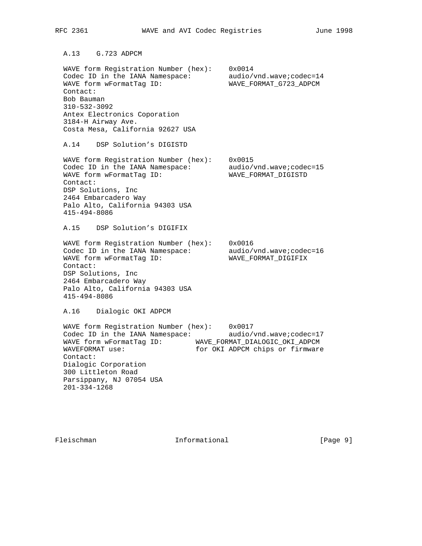A.13 G.723 ADPCM WAVE form Registration Number (hex): 0x0014 Codec ID in the IANA Namespace: audio/vnd.wave;codec=14 WAVE form wFormatTag ID: WAVE\_FORMAT\_G723\_ADPCM Contact: Bob Bauman 310-532-3092 Antex Electronics Coporation 3184-H Airway Ave. Costa Mesa, California 92627 USA A.14 DSP Solution's DIGISTD WAVE form Registration Number (hex): 0x0015 Codec ID in the IANA Namespace: audio/vnd.wave;codec=15 WAVE form wFormatTag ID: WAVE\_FORMAT\_DIGISTD Contact: DSP Solutions, Inc 2464 Embarcadero Way Palo Alto, California 94303 USA 415-494-8086 A.15 DSP Solution's DIGIFIX WAVE form Registration Number (hex): 0x0016 Codec ID in the IANA Namespace: audio/vnd.wave;codec=16 WAVE form wFormatTag ID: WAVE\_FORMAT\_DIGIFIX Contact: DSP Solutions, Inc 2464 Embarcadero Way Palo Alto, California 94303 USA 415-494-8086 A.16 Dialogic OKI ADPCM WAVE form Registration Number (hex): 0x0017 Codec ID in the IANA Namespace: audio/vnd.wave;codec=17 WAVE form wFormatTag ID: WAVE\_FORMAT\_DIALOGIC\_OKI\_ADPCM WAVEFORMAT use: for OKI ADPCM chips or firmware Contact: Dialogic Corporation 300 Littleton Road Parsippany, NJ 07054 USA 201-334-1268

Fleischman Informational [Page 9]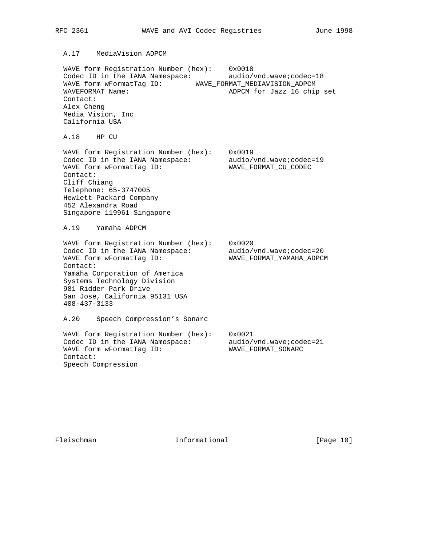## A.17 MediaVision ADPCM

 WAVE form Registration Number (hex): 0x0018 Codec ID in the IANA Namespace: audio/vnd.wave;codec=18 WAVE form wFormatTag ID: WAVE\_FORMAT\_MEDIAVISION\_ADPCM<br>WAVEFORMAT Name: Name: ADPCM for Jazz 16 chip ADPCM for Jazz 16 chip set Contact: Alex Cheng Media Vision, Inc California USA

A.18 HP CU

 WAVE form Registration Number (hex): 0x0019 Codec ID in the IANA Namespace: audio/vnd.wave;codec=19 WAVE form wFormatTag ID: WAVE\_FORMAT\_CU\_CODEC Contact: Cliff Chiang Telephone: 65-3747005 Hewlett-Packard Company 452 Alexandra Road

Singapore 119961 Singapore

A.19 Yamaha ADPCM

 WAVE form Registration Number (hex): 0x0020 Codec ID in the IANA Namespace: audio/vnd.wave;codec=20 WAVE form wFormatTag ID: WAVE\_FORMAT\_YAMAHA\_ADPCM Contact: Yamaha Corporation of America Systems Technology Division 981 Ridder Park Drive San Jose, California 95131 USA 408-437-3133 A.20 Speech Compression's Sonarc

 WAVE form Registration Number (hex): 0x0021 Codec ID in the IANA Namespace: audio/vnd.wave;codec=21 WAVE form wFormatTag ID: WAVE\_FORMAT\_SONARC Contact: Speech Compression

Fleischman Informational [Page 10]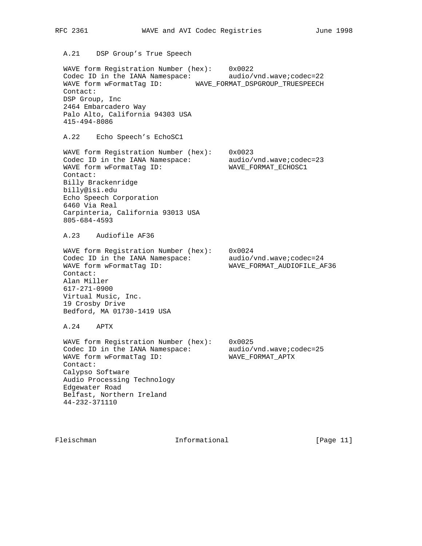A.21 DSP Group's True Speech

 WAVE form Registration Number (hex): 0x0022 Codec ID in the IANA Namespace: audio/vnd.wave;codec=22 WAVE form wFormatTag ID: WAVE\_FORMAT\_DSPGROUP\_TRUESPEECH Contact: DSP Group, Inc 2464 Embarcadero Way Palo Alto, California 94303 USA 415-494-8086

A.22 Echo Speech's EchoSC1

 WAVE form Registration Number (hex): 0x0023 Codec ID in the IANA Namespace: audio/vnd.wave;codec=23 WAVE form wFormatTag ID: WAVE\_FORMAT\_ECHOSC1 Contact: Billy Brackenridge billy@isi.edu Echo Speech Corporation 6460 Via Real Carpinteria, California 93013 USA 805-684-4593

A.23 Audiofile AF36

 WAVE form Registration Number (hex): 0x0024 Codec ID in the IANA Namespace: audio/vnd.wave;codec=24 WAVE form wFormatTag ID: WAVE\_FORMAT\_AUDIOFILE\_AF36 Contact: Alan Miller 617-271-0900 Virtual Music, Inc. 19 Crosby Drive Bedford, MA 01730-1419 USA

A.24 APTX

 WAVE form Registration Number (hex): 0x0025 Codec ID in the IANA Namespace: audio/vnd.wave;codec=25 WAVE form wFormatTag ID: WAVE\_FORMAT\_APTX Contact: Calypso Software Audio Processing Technology Edgewater Road Belfast, Northern Ireland 44-232-371110

Fleischman 10. Informational [Page 11]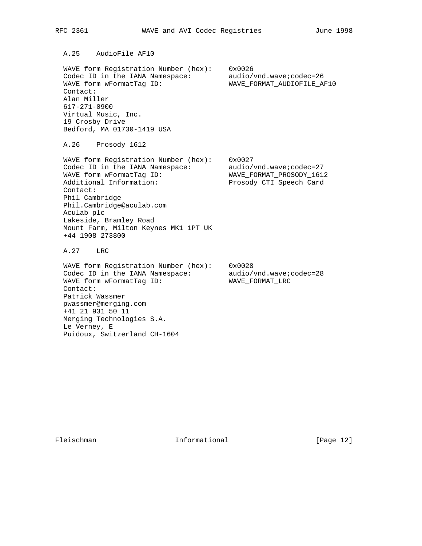A.25 AudioFile AF10

 WAVE form Registration Number (hex): 0x0026 Codec ID in the IANA Namespace: audio/vnd.wave;codec=26 WAVE form wFormatTag ID: WAVE\_FORMAT\_AUDIOFILE\_AF10 Contact: Alan Miller 617-271-0900 Virtual Music, Inc. 19 Crosby Drive Bedford, MA 01730-1419 USA

A.26 Prosody 1612

 WAVE form Registration Number (hex): 0x0027 Codec ID in the IANA Namespace: audio/vnd.wave;codec=27 WAVE form wFormatTag ID: WAVE\_FORMAT\_PROSODY\_1612 Additional Information: Prosody CTI Speech Card Contact: Phil Cambridge Phil.Cambridge@aculab.com Aculab plc Lakeside, Bramley Road Mount Farm, Milton Keynes MK1 1PT UK +44 1908 273800

A.27 LRC

 WAVE form Registration Number (hex): 0x0028 Codec ID in the IANA Namespace: audio/vnd.wave;codec=28 WAVE form wFormatTag ID: WAVE\_FORMAT\_LRC Contact: Patrick Wassmer pwassmer@merging.com +41 21 931 50 11 Merging Technologies S.A. Le Verney, E Puidoux, Switzerland CH-1604

Fleischman Informational [Page 12]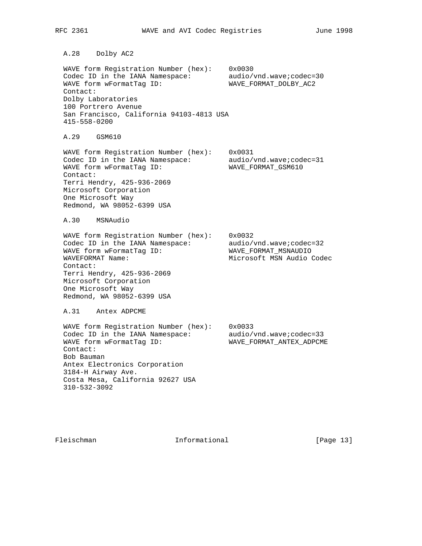A.28 Dolby AC2

 WAVE form Registration Number (hex): 0x0030 Codec ID in the IANA Namespace: audio/vnd.wave;codec=30 WAVE form wFormatTag ID: WAVE\_FORMAT\_DOLBY\_AC2 Contact: Dolby Laboratories 100 Portrero Avenue San Francisco, California 94103-4813 USA 415-558-0200

A.29 GSM610

 WAVE form Registration Number (hex): 0x0031 Codec ID in the IANA Namespace: audio/vnd.wave;codec=31 WAVE form wFormatTag ID: WAVE\_FORMAT\_GSM610 Contact: Terri Hendry, 425-936-2069 Microsoft Corporation One Microsoft Way Redmond, WA 98052-6399 USA

A.30 MSNAudio

 WAVE form Registration Number (hex): 0x0032 Codec ID in the IANA Namespace: audio/vnd.wave;codec=32 WAVE form wFormatTag ID: WAVE\_FORMAT\_MSNAUDIO WAVEFORMAT Name: Microsoft MSN Audio Codec Contact: Terri Hendry, 425-936-2069 Microsoft Corporation One Microsoft Way Redmond, WA 98052-6399 USA

A.31 Antex ADPCME

 WAVE form Registration Number (hex): 0x0033 Codec ID in the IANA Namespace: audio/vnd.wave;codec=33 WAVE form wFormatTag ID: WAVE\_FORMAT\_ANTEX\_ADPCME Contact: Bob Bauman Antex Electronics Corporation 3184-H Airway Ave. Costa Mesa, California 92627 USA 310-532-3092

Fleischman Informational [Page 13]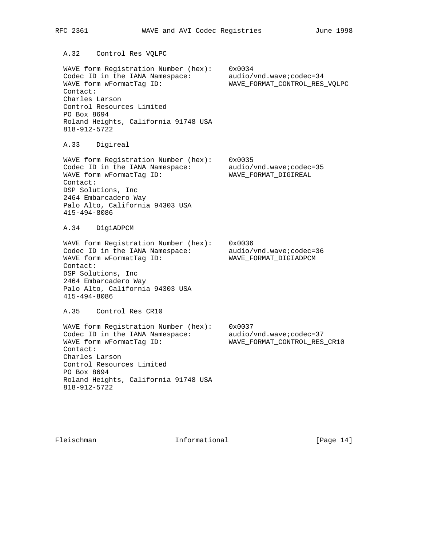A.32 Control Res VQLPC

 WAVE form Registration Number (hex): 0x0034 Codec ID in the IANA Namespace: audio/vnd.wave;codec=34 WAVE form wFormatTag ID: WAVE\_FORMAT\_CONTROL\_RES\_VQLPC Contact: Charles Larson Control Resources Limited PO Box 8694 Roland Heights, California 91748 USA 818-912-5722

A.33 Digireal

 WAVE form Registration Number (hex): 0x0035 Codec ID in the IANA Namespace: audio/vnd.wave;codec=35 WAVE form wFormatTag ID: WAVE\_FORMAT\_DIGIREAL Contact: DSP Solutions, Inc 2464 Embarcadero Way Palo Alto, California 94303 USA 415-494-8086

A.34 DigiADPCM

 WAVE form Registration Number (hex): 0x0036 Codec ID in the IANA Namespace: audio/vnd.wave;codec=36 WAVE form wFormatTag ID: WAVE\_FORMAT\_DIGIADPCM Contact: DSP Solutions, Inc 2464 Embarcadero Way Palo Alto, California 94303 USA 415-494-8086

A.35 Control Res CR10

 WAVE form Registration Number (hex): 0x0037 Codec ID in the IANA Namespace: audio/vnd.wave;codec=37 WAVE form wFormatTag ID: WAVE\_FORMAT\_CONTROL\_RES\_CR10 Contact: Charles Larson Control Resources Limited PO Box 8694 Roland Heights, California 91748 USA 818-912-5722

Fleischman Informational [Page 14]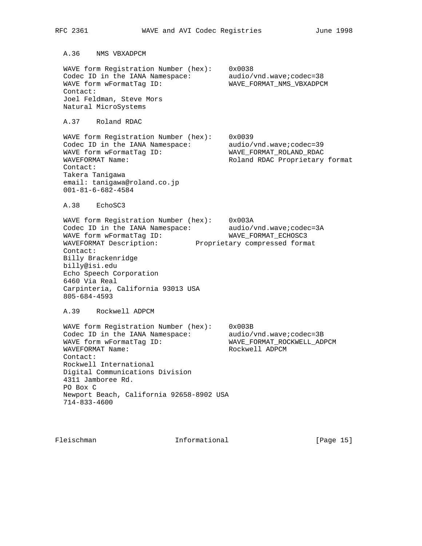WAVE form Registration Number (hex): 0x0038 Codec ID in the IANA Namespace: audio/vnd.wave;codec=38 WAVE form wFormatTag ID: WAVE\_FORMAT\_NMS\_VBXADPCM Contact: Joel Feldman, Steve Mors Natural MicroSystems A.37 Roland RDAC WAVE form Registration Number (hex): 0x0039 Codec ID in the IANA Namespace: audio/vnd.wave;codec=39 WAVE form wFormatTag ID: WAVE\_FORMAT\_ROLAND\_RDAC WAVEFORMAT Name:  $\blacksquare$  Roland RDAC Proprietary format Contact: Takera Tanigawa email: tanigawa@roland.co.jp 001-81-6-682-4584 A.38 EchoSC3 WAVE form Registration Number (hex): 0x003A Codec ID in the IANA Namespace: audio/vnd.wave;codec=3A WAVE form wFormatTag ID: WAVE\_FORMAT\_ECHOSC3 WAVEFORMAT Description: Proprietary compressed format Contact: Billy Brackenridge billy@isi.edu Echo Speech Corporation 6460 Via Real Carpinteria, California 93013 USA 805-684-4593 A.39 Rockwell ADPCM WAVE form Registration Number (hex): 0x003B Codec ID in the IANA Namespace: audio/vnd.wave;codec=3B WAVE form wFormatTag ID: WAVE\_FORMAT\_ROCKWELL\_ADPCM WAVEFORMAT Name: Rockwell ADPCM Contact: Rockwell International Digital Communications Division 4311 Jamboree Rd. PO Box C Newport Beach, California 92658-8902 USA 714-833-4600

Fleischman 1nformational [Page 15]

A.36 NMS VBXADPCM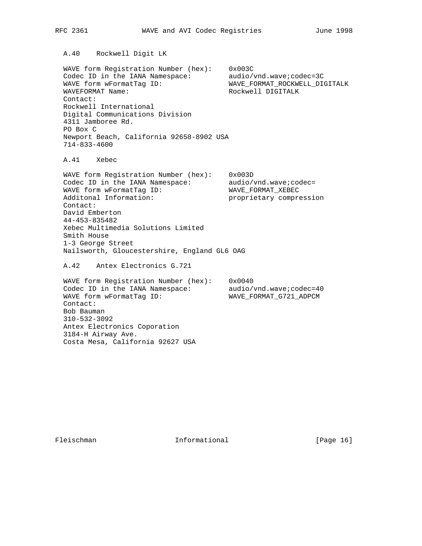A.40 Rockwell Digit LK

 WAVE form Registration Number (hex): 0x003C Codec ID in the IANA Namespace: audio/vnd.wave;codec=3C WAVE form wFormatTag ID: WAVE\_FORMAT\_ROCKWELL\_DIGITALK WAVEFORMAT Name: Rockwell DIGITALK Contact: Rockwell International Digital Communications Division 4311 Jamboree Rd. PO Box C Newport Beach, California 92658-8902 USA 714-833-4600

A.41 Xebec

 WAVE form Registration Number (hex): 0x003D Codec ID in the IANA Namespace: audio/vnd.wave;codec= WAVE form wFormatTag ID: WAVE\_FORMAT\_XEBEC Additonal Information: proprietary compression Contact: David Emberton 44-453-835482 Xebec Multimedia Solutions Limited Smith House 1-3 George Street Nailsworth, Gloucestershire, England GL6 OAG

A.42 Antex Electronics G.721

 WAVE form Registration Number (hex): 0x0040 Codec ID in the IANA Namespace: audio/vnd.wave;codec=40 WAVE form wFormatTag ID: WAVE\_FORMAT\_G721\_ADPCM Contact: Bob Bauman 310-532-3092 Antex Electronics Coporation 3184-H Airway Ave. Costa Mesa, California 92627 USA

Fleischman Informational [Page 16]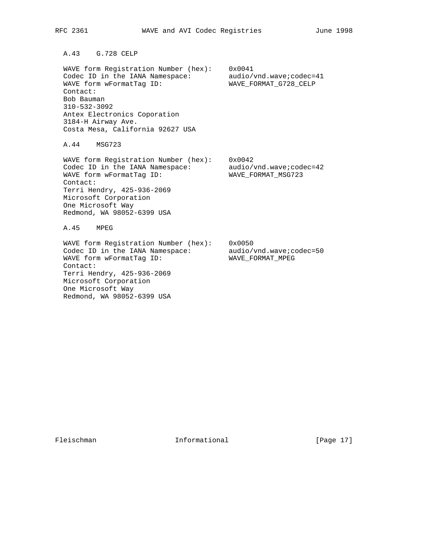A.43 G.728 CELP

 WAVE form Registration Number (hex): 0x0041 Codec ID in the IANA Namespace: audio/vnd.wave;codec=41 WAVE form wFormatTag ID: WAVE\_FORMAT\_G728\_CELP Contact: Bob Bauman 310-532-3092 Antex Electronics Coporation 3184-H Airway Ave. Costa Mesa, California 92627 USA

A.44 MSG723

 WAVE form Registration Number (hex): 0x0042 Codec ID in the IANA Namespace: audio/vnd.wave;codec=42 WAVE form wFormatTag ID: WAVE\_FORMAT\_MSG723 Contact: Terri Hendry, 425-936-2069 Microsoft Corporation One Microsoft Way Redmond, WA 98052-6399 USA

A.45 MPEG

 WAVE form Registration Number (hex): 0x0050 Codec ID in the IANA Namespace: audio/vnd.wave;codec=50 WAVE form wFormatTag ID: WAVE\_FORMAT\_MPEG Contact: Terri Hendry, 425-936-2069 Microsoft Corporation One Microsoft Way Redmond, WA 98052-6399 USA

Fleischman Informational [Page 17]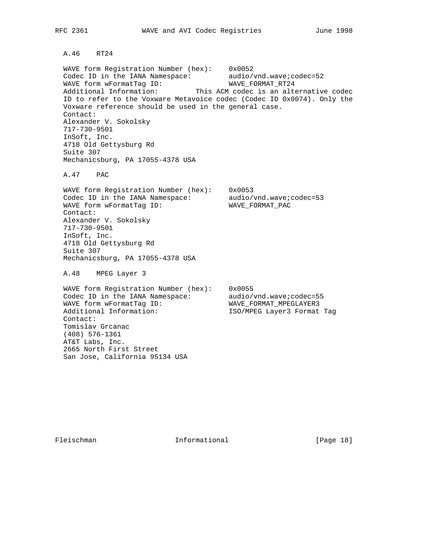A.46 RT24

 WAVE form Registration Number (hex): 0x0052 Codec ID in the IANA Namespace: audio/vnd.wave;codec=52 WAVE form wFormatTag ID: WAVE\_FORMAT\_RT24 Additional Information: This ACM codec is an alternative codec ID to refer to the Voxware Metavoice codec (Codec ID 0x0074). Only the Voxware reference should be used in the general case. Contact: Alexander V. Sokolsky 717-730-9501 InSoft, Inc. 4718 Old Gettysburg Rd Suite 307 Mechanicsburg, PA 17055-4378 USA

A.47 PAC

 WAVE form Registration Number (hex): 0x0053 Codec ID in the IANA Namespace: audio/vnd.wave;codec=53 WAVE form wFormatTag ID: WAVE\_FORMAT\_PAC Contact: Alexander V. Sokolsky 717-730-9501 InSoft, Inc. 4718 Old Gettysburg Rd Suite 307 Mechanicsburg, PA 17055-4378 USA

A.48 MPEG Layer 3

 WAVE form Registration Number (hex): 0x0055 Codec ID in the IANA Namespace: audio/vnd.wave;codec=55 WAVE form wFormatTag ID: WAVE\_FORMAT\_MPEGLAYER3 Additional Information: ISO/MPEG Layer3 Format Tag Contact: Tomislav Grcanac (408) 576-1361 AT&T Labs, Inc. 2665 North First Street San Jose, California 95134 USA

Fleischman Informational [Page 18]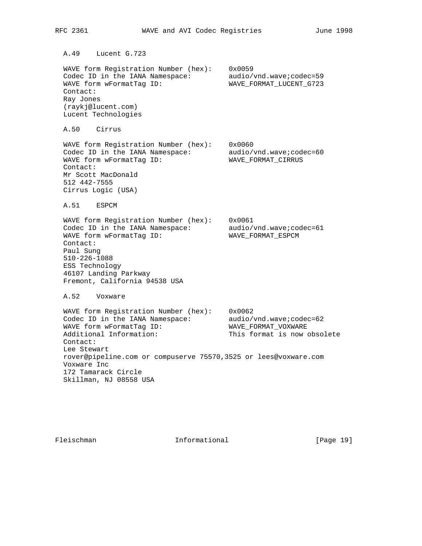A.49 Lucent G.723 WAVE form Registration Number (hex): 0x0059 Codec ID in the IANA Namespace: audio/vnd.wave;codec=59 WAVE form wFormatTag ID: WAVE\_FORMAT\_LUCENT\_G723 Contact: Ray Jones (raykj@lucent.com) Lucent Technologies A.50 Cirrus WAVE form Registration Number (hex): 0x0060 Codec ID in the IANA Namespace: audio/vnd.wave;codec=60 WAVE form wFormatTag ID: WAVE\_FORMAT\_CIRRUS Contact: Mr Scott MacDonald 512 442-7555 Cirrus Logic (USA) A.51 ESPCM WAVE form Registration Number (hex): 0x0061 Codec ID in the IANA Namespace: audio/vnd.wave;codec=61 WAVE form wFormatTag ID: WAVE\_FORMAT\_ESPCM Contact: Paul Sung 510-226-1088 ESS Technology 46107 Landing Parkway Fremont, California 94538 USA A.52 Voxware WAVE form Registration Number (hex): 0x0062 Codec ID in the IANA Namespace: audio/vnd.wave;codec=62 WAVE form wFormatTag ID: WAVE\_FORMAT\_VOXWARE Additional Information: This format is now obsolete Contact: Lee Stewart rover@pipeline.com or compuserve 75570,3525 or lees@voxware.com Voxware Inc 172 Tamarack Circle Skillman, NJ 08558 USA

Fleischman Informational [Page 19]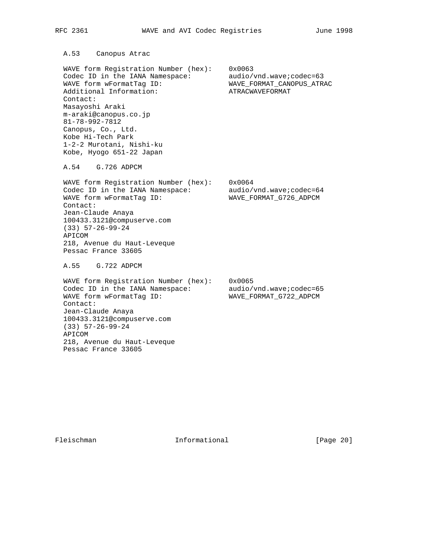A.53 Canopus Atrac

 WAVE form Registration Number (hex): 0x0063 Codec ID in the IANA Namespace: audio/vnd.wave;codec=63 WAVE form wFormatTag ID: WAVE\_FORMAT\_CANOPUS\_ATRAC Additional Information: <br>
ATRACWAVEFORMAT Contact: Masayoshi Araki m-araki@canopus.co.jp 81-78-992-7812 Canopus, Co., Ltd. Kobe Hi-Tech Park 1-2-2 Murotani, Nishi-ku Kobe, Hyogo 651-22 Japan

A.54 G.726 ADPCM

 WAVE form Registration Number (hex): 0x0064 Codec ID in the IANA Namespace: audio/vnd.wave;codec=64 WAVE form wFormatTag ID: WAVE\_FORMAT\_G726\_ADPCM Contact: Jean-Claude Anaya 100433.3121@compuserve.com (33) 57-26-99-24 APICOM 218, Avenue du Haut-Leveque Pessac France 33605

A.55 G.722 ADPCM

 WAVE form Registration Number (hex): 0x0065 Codec ID in the IANA Namespace: audio/vnd.wave;codec=65 WAVE form wFormatTag ID: WAVE\_FORMAT\_G722\_ADPCM Contact: Jean-Claude Anaya 100433.3121@compuserve.com (33) 57-26-99-24 APICOM 218, Avenue du Haut-Leveque Pessac France 33605

Fleischman 1nformational [Page 20]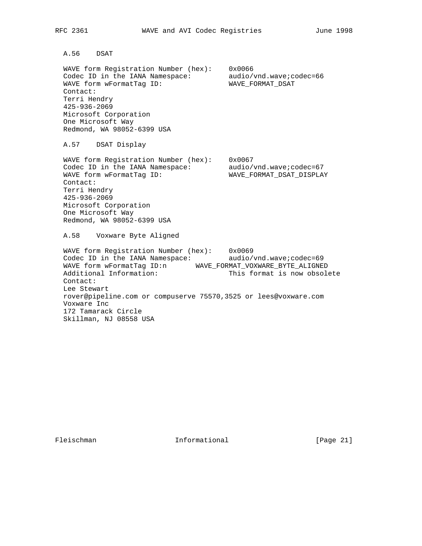A.56 DSAT

 WAVE form Registration Number (hex): 0x0066 Codec ID in the IANA Namespace: audio/vnd.wave;codec=66 WAVE form wFormatTag ID: WAVE\_FORMAT\_DSAT Contact: Terri Hendry 425-936-2069 Microsoft Corporation One Microsoft Way Redmond, WA 98052-6399 USA

A.57 DSAT Display

 WAVE form Registration Number (hex): 0x0067 Codec ID in the IANA Namespace: audio/vnd.wave;codec=67 WAVE form wFormatTag ID: WAVE\_FORMAT\_DSAT\_DISPLAY Contact: Terri Hendry 425-936-2069 Microsoft Corporation One Microsoft Way Redmond, WA 98052-6399 USA

A.58 Voxware Byte Aligned

 WAVE form Registration Number (hex): 0x0069 Codec ID in the IANA Namespace: audio/vnd.wave;codec=69 WAVE form wFormatTag ID:n WAVE\_FORMAT\_VOXWARE\_BYTE\_ALIGNED Additional Information: This format is now obsolete Contact: Lee Stewart rover@pipeline.com or compuserve 75570,3525 or lees@voxware.com Voxware Inc 172 Tamarack Circle Skillman, NJ 08558 USA

Fleischman Informational [Page 21]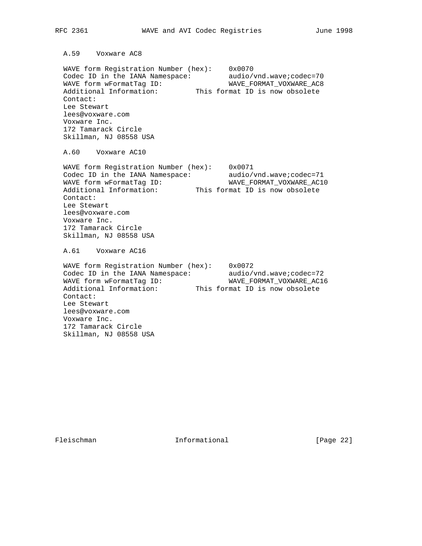A.59 Voxware AC8

 WAVE form Registration Number (hex): 0x0070 Codec ID in the IANA Namespace: audio/vnd.wave;codec=70 WAVE form wFormatTag ID: WAVE\_FORMAT\_VOXWARE\_AC8 Additional Information: This format ID is now obsolete Contact: Lee Stewart lees@voxware.com Voxware Inc. 172 Tamarack Circle Skillman, NJ 08558 USA

A.60 Voxware AC10

 WAVE form Registration Number (hex): 0x0071 Codec ID in the IANA Namespace: audio/vnd.wave;codec=71 WAVE form wFormatTag ID: WAVE\_FORMAT\_VOXWARE\_AC10 Additional Information: This format ID is now obsolete Contact: Lee Stewart lees@voxware.com Voxware Inc. 172 Tamarack Circle Skillman, NJ 08558 USA

A.61 Voxware AC16

 WAVE form Registration Number (hex): 0x0072 Codec ID in the IANA Namespace: audio/vnd.wave;codec=72 WAVE form wFormatTag ID: WAVE\_FORMAT\_VOXWARE\_AC16 Additional Information: This format ID is now obsolete Contact: Lee Stewart lees@voxware.com Voxware Inc. 172 Tamarack Circle Skillman, NJ 08558 USA

Fleischman Informational [Page 22]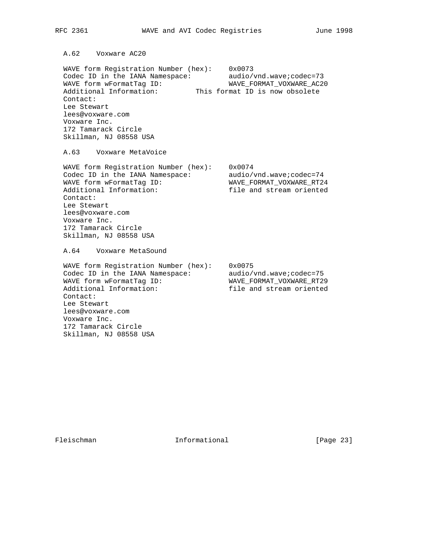A.62 Voxware AC20

 WAVE form Registration Number (hex): 0x0073 Codec ID in the IANA Namespace: audio/vnd.wave;codec=73 WAVE form wFormatTag ID: WAVE\_FORMAT\_VOXWARE\_AC20 Additional Information: This format ID is now obsolete Contact: Lee Stewart lees@voxware.com Voxware Inc. 172 Tamarack Circle Skillman, NJ 08558 USA

A.63 Voxware MetaVoice

 WAVE form Registration Number (hex): 0x0074 Codec ID in the IANA Namespace: audio/vnd.wave;codec=74 WAVE form wFormatTag ID: WAVE\_FORMAT\_VOXWARE\_RT24 Additional Information: file and stream oriented Contact: Lee Stewart lees@voxware.com Voxware Inc. 172 Tamarack Circle Skillman, NJ 08558 USA

A.64 Voxware MetaSound

 WAVE form Registration Number (hex): 0x0075 Codec ID in the IANA Namespace: audio/vnd.wave;codec=75 WAVE form wFormatTag ID: WAVE\_FORMAT\_VOXWARE\_RT29 Additional Information: file and stream oriented Contact: Lee Stewart lees@voxware.com Voxware Inc. 172 Tamarack Circle Skillman, NJ 08558 USA

Fleischman Informational [Page 23]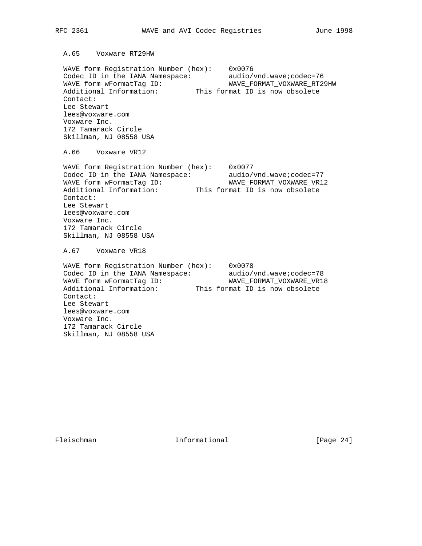A.65 Voxware RT29HW

 WAVE form Registration Number (hex): 0x0076 Codec ID in the IANA Namespace: audio/vnd.wave;codec=76 WAVE form wFormatTag ID: WAVE\_FORMAT\_VOXWARE\_RT29HW Additional Information: This format ID is now obsolete Contact: Lee Stewart lees@voxware.com Voxware Inc. 172 Tamarack Circle Skillman, NJ 08558 USA

A.66 Voxware VR12

 WAVE form Registration Number (hex): 0x0077 Codec ID in the IANA Namespace: audio/vnd.wave;codec=77 WAVE form wFormatTag ID: WAVE\_FORMAT\_VOXWARE\_VR12 Additional Information: This format ID is now obsolete Contact: Lee Stewart lees@voxware.com Voxware Inc. 172 Tamarack Circle Skillman, NJ 08558 USA

A.67 Voxware VR18

 WAVE form Registration Number (hex): 0x0078 Codec ID in the IANA Namespace: audio/vnd.wave;codec=78 WAVE form wFormatTag ID: WAVE\_FORMAT\_VOXWARE\_VR18 Additional Information: This format ID is now obsolete Contact: Lee Stewart lees@voxware.com Voxware Inc. 172 Tamarack Circle Skillman, NJ 08558 USA

Fleischman Informational [Page 24]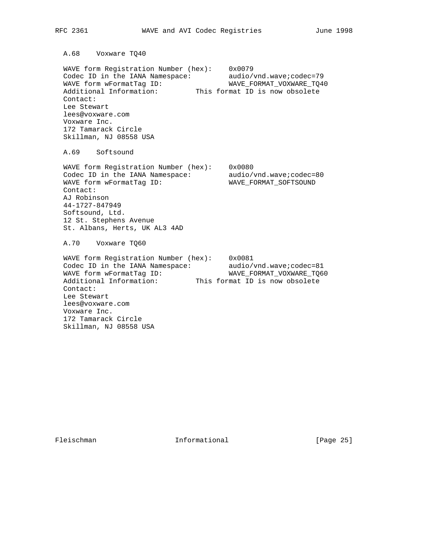A.68 Voxware TQ40

 WAVE form Registration Number (hex): 0x0079 Codec ID in the IANA Namespace: audio/vnd.wave;codec=79 WAVE form wFormatTag ID: WAVE\_FORMAT\_VOXWARE\_TQ40 Additional Information: This format ID is now obsolete Contact: Lee Stewart lees@voxware.com Voxware Inc. 172 Tamarack Circle Skillman, NJ 08558 USA

A.69 Softsound

 WAVE form Registration Number (hex): 0x0080 Codec ID in the IANA Namespace: audio/vnd.wave;codec=80 WAVE form wFormatTag ID: WAVE\_FORMAT\_SOFTSOUND Contact: AJ Robinson 44-1727-847949 Softsound, Ltd. 12 St. Stephens Avenue St. Albans, Herts, UK AL3 4AD

A.70 Voxware TQ60

 WAVE form Registration Number (hex): 0x0081 Codec ID in the IANA Namespace: audio/vnd.wave;codec=81 WAVE form wFormatTag ID: WAVE\_FORMAT\_VOXWARE\_TQ60 Additional Information: This format ID is now obsolete Contact: Lee Stewart lees@voxware.com Voxware Inc. 172 Tamarack Circle Skillman, NJ 08558 USA

Fleischman Informational [Page 25]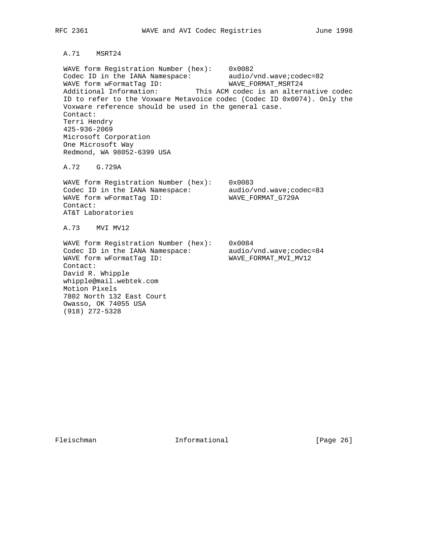# A.71 MSRT24

 WAVE form Registration Number (hex): 0x0082 Codec ID in the IANA Namespace: audio/vnd.wave;codec=82 WAVE form wFormatTag ID: WAVE\_FORMAT\_MSRT24 Additional Information: This ACM codec is an alternative codec ID to refer to the Voxware Metavoice codec (Codec ID 0x0074). Only the Voxware reference should be used in the general case. Contact: Terri Hendry 425-936-2069 Microsoft Corporation One Microsoft Way Redmond, WA 98052-6399 USA

A.72 G.729A

 WAVE form Registration Number (hex): 0x0083 Codec ID in the IANA Namespace: audio/vnd.wave;codec=83 WAVE form wFormatTag ID: WAVE\_FORMAT\_G729A Contact: AT&T Laboratories

A.73 MVI MV12

 WAVE form Registration Number (hex): 0x0084 Codec ID in the IANA Namespace: audio/vnd.wave;codec=84 WAVE form wFormatTag ID: WAVE\_FORMAT\_MVI\_MV12 Contact: David R. Whipple whipple@mail.webtek.com Motion Pixels 7802 North 132 East Court Owasso, OK 74055 USA (918) 272-5328

Fleischman Informational [Page 26]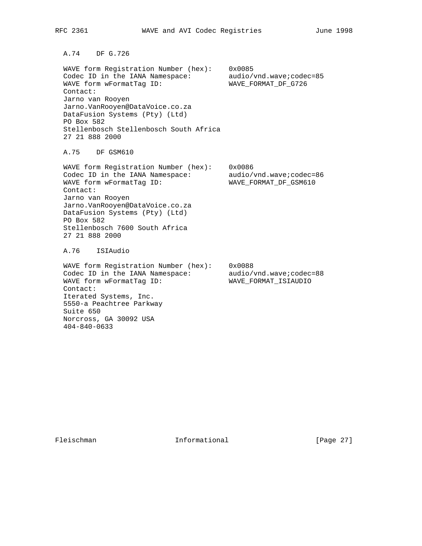A.74 DF G.726

 WAVE form Registration Number (hex): 0x0085 Codec ID in the IANA Namespace: audio/vnd.wave;codec=85 WAVE form wFormatTag ID: WAVE\_FORMAT\_DF\_G726 Contact: Jarno van Rooyen Jarno.VanRooyen@DataVoice.co.za DataFusion Systems (Pty) (Ltd) PO Box 582 Stellenbosch Stellenbosch South Africa 27 21 888 2000

A.75 DF GSM610

 WAVE form Registration Number (hex): 0x0086 Codec ID in the IANA Namespace: audio/vnd.wave;codec=86 WAVE form wFormatTag ID: WAVE\_FORMAT\_DF\_GSM610 Contact: Jarno van Rooyen Jarno.VanRooyen@DataVoice.co.za DataFusion Systems (Pty) (Ltd) PO Box 582 Stellenbosch 7600 South Africa 27 21 888 2000 A.76 ISIAudio

 WAVE form Registration Number (hex): 0x0088 Codec ID in the IANA Namespace: audio/vnd.wave;codec=88 WAVE form wFormatTag ID: WAVE\_FORMAT\_ISIAUDIO Contact: Iterated Systems, Inc. 5550-a Peachtree Parkway Suite 650 Norcross, GA 30092 USA 404-840-0633

Fleischman Informational [Page 27]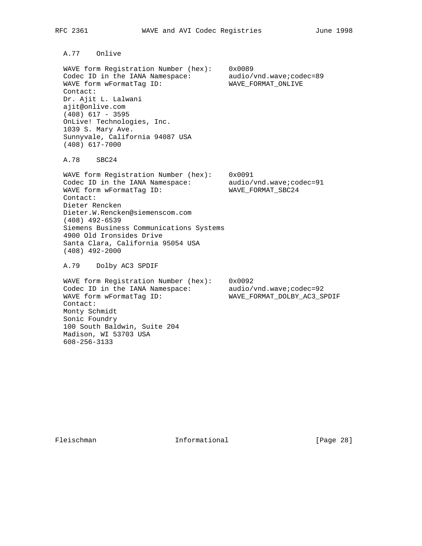A.77 Onlive

 WAVE form Registration Number (hex): 0x0089 Codec ID in the IANA Namespace: audio/vnd.wave;codec=89 WAVE form wFormatTag ID: WAVE\_FORMAT\_ONLIVE Contact: Dr. Ajit L. Lalwani ajit@onlive.com (408) 617 - 3595 OnLive! Technologies, Inc. 1039 S. Mary Ave. Sunnyvale, California 94087 USA (408) 617-7000

A.78 SBC24

 WAVE form Registration Number (hex): 0x0091 Codec ID in the IANA Namespace: audio/vnd.wave;codec=91 WAVE form wFormatTag ID: WAVE\_FORMAT\_SBC24 Contact: Dieter Rencken Dieter.W.Rencken@siemenscom.com (408) 492-6539 Siemens Business Communications Systems 4900 Old Ironsides Drive Santa Clara, California 95054 USA (408) 492-2000

A.79 Dolby AC3 SPDIF

 WAVE form Registration Number (hex): 0x0092 Codec ID in the IANA Namespace: audio/vnd.wave;codec=92 WAVE form wFormatTag ID: WAVE\_FORMAT\_DOLBY\_AC3\_SPDIF Contact: Monty Schmidt Sonic Foundry 100 South Baldwin, Suite 204 Madison, WI 53703 USA 608-256-3133

Fleischman Informational [Page 28]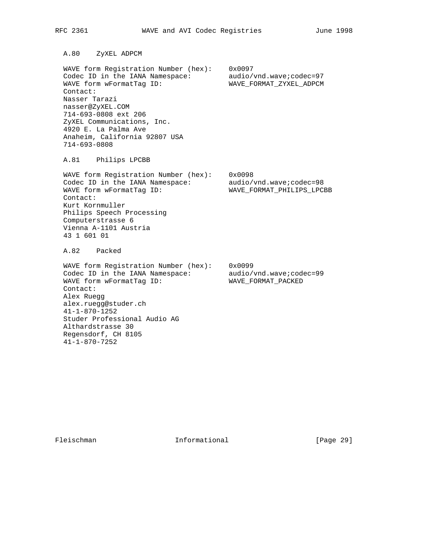A.80 ZyXEL ADPCM

 WAVE form Registration Number (hex): 0x0097 Codec ID in the IANA Namespace: audio/vnd.wave;codec=97 WAVE form wFormatTag ID: WAVE\_FORMAT\_ZYXEL\_ADPCM Contact: Nasser Tarazi nasser@ZyXEL.COM 714-693-0808 ext 206 ZyXEL Communications, Inc. 4920 E. La Palma Ave Anaheim, California 92807 USA 714-693-0808

A.81 Philips LPCBB

 WAVE form Registration Number (hex): 0x0098 Codec ID in the IANA Namespace: audio/vnd.wave;codec=98 WAVE form wFormatTag ID: WAVE\_FORMAT\_PHILIPS\_LPCBB Contact: Kurt Kornmuller Philips Speech Processing Computerstrasse 6 Vienna A-1101 Austria 43 1 601 01

A.82 Packed

 WAVE form Registration Number (hex): 0x0099 Codec ID in the IANA Namespace: audio/vnd.wave;codec=99 WAVE form wFormatTag ID: WAVE\_FORMAT\_PACKED Contact: Alex Ruegg alex.ruegg@studer.ch 41-1-870-1252 Studer Professional Audio AG Althardstrasse 30 Regensdorf, CH 8105 41-1-870-7252

Fleischman Informational [Page 29]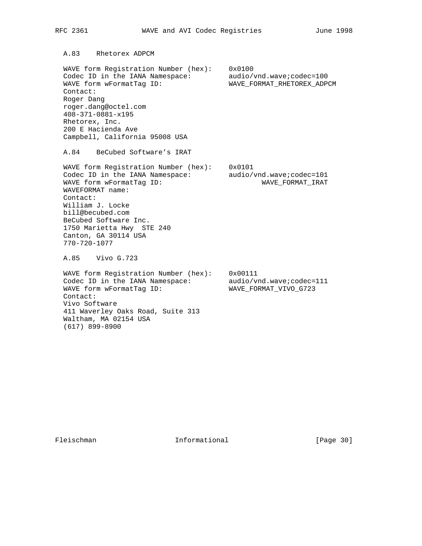A.83 Rhetorex ADPCM

 WAVE form Registration Number (hex): 0x0100 Codec ID in the IANA Namespace: audio/vnd.wave:codec=100 WAVE form wFormatTag ID: WAVE\_FORMAT\_RHETOREX\_ADPCM Contact: Roger Dang roger.dang@octel.com 408-371-0881-x195 Rhetorex, Inc. 200 E Hacienda Ave Campbell, California 95008 USA

A.84 BeCubed Software's IRAT

 WAVE form Registration Number (hex): 0x0101 Codec ID in the IANA Namespace: audio/vnd.wave:codec=101 WAVE form wFormatTag ID: WAVE\_FORMAT\_IRAT WAVEFORMAT name: Contact: William J. Locke bill@becubed.com BeCubed Software Inc. 1750 Marietta Hwy STE 240 Canton, GA 30114 USA 770-720-1077

A.85 Vivo G.723

 WAVE form Registration Number (hex): 0x00111 Codec ID in the IANA Namespace: audio/vnd.wave:codec=111 WAVE form wFormatTag ID: WAVE\_FORMAT\_VIVO\_G723 Contact: Vivo Software 411 Waverley Oaks Road, Suite 313 Waltham, MA 02154 USA (617) 899-8900

Fleischman Informational [Page 30]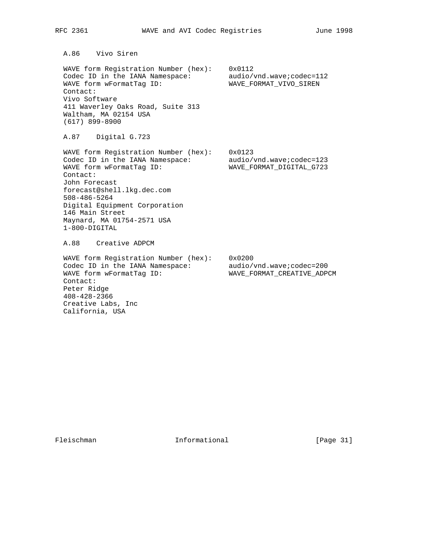A.86 Vivo Siren

 WAVE form Registration Number (hex): 0x0112 Codec ID in the IANA Namespace: audio/vnd.wave:codec=112 WAVE form wFormatTag ID: WAVE\_FORMAT\_VIVO\_SIREN Contact: Vivo Software 411 Waverley Oaks Road, Suite 313 Waltham, MA 02154 USA (617) 899-8900

A.87 Digital G.723

 WAVE form Registration Number (hex): 0x0123 Codec ID in the IANA Namespace: audio/vnd.wave;codec=123 WAVE form wFormatTag ID: WAVE\_FORMAT\_DIGITAL\_G723 Contact: John Forecast forecast@shell.lkg.dec.com 508-486-5264 Digital Equipment Corporation 146 Main Street Maynard, MA 01754-2571 USA 1-800-DIGITAL A.88 Creative ADPCM WAVE form Registration Number (hex): 0x0200

Codec ID in the IANA Namespace: audio/vnd.wave;codec=200 WAVE form wFormatTag ID: WAVE\_FORMAT\_CREATIVE\_ADPCM Contact: Peter Ridge 408-428-2366 Creative Labs, Inc California, USA

Fleischman Informational [Page 31]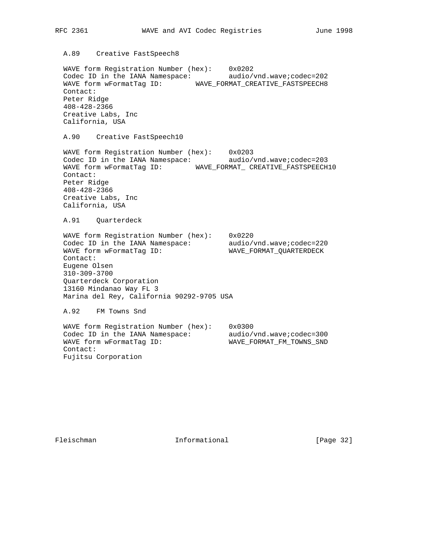## A.89 Creative FastSpeech8

 WAVE form Registration Number (hex): 0x0202 Codec ID in the IANA Namespace: audio/vnd.wave;codec=202 WAVE form wFormatTag ID: WAVE\_FORMAT\_CREATIVE\_FASTSPEECH8 Contact: Peter Ridge 408-428-2366 Creative Labs, Inc California, USA

A.90 Creative FastSpeech10

 WAVE form Registration Number (hex): 0x0203 Codec ID in the IANA Namespace: audio/vnd.wave;codec=203 WAVE form wFormatTag ID: WAVE\_FORMAT\_ CREATIVE\_FASTSPEECH10 Contact: Peter Ridge 408-428-2366 Creative Labs, Inc California, USA

A.91 Quarterdeck

 WAVE form Registration Number (hex): 0x0220 Codec ID in the IANA Namespace: audio/vnd.wave;codec=220 WAVE form wFormatTag ID: WAVE\_FORMAT\_QUARTERDECK Contact: Eugene Olsen 310-309-3700 Quarterdeck Corporation 13160 Mindanao Way FL 3 Marina del Rey, California 90292-9705 USA

A.92 FM Towns Snd

 WAVE form Registration Number (hex): 0x0300 Codec ID in the IANA Namespace: audio/vnd.wave:codec=300 WAVE form wFormatTag ID: WAVE\_FORMAT\_FM\_TOWNS\_SND Contact: Fujitsu Corporation

Fleischman Informational [Page 32]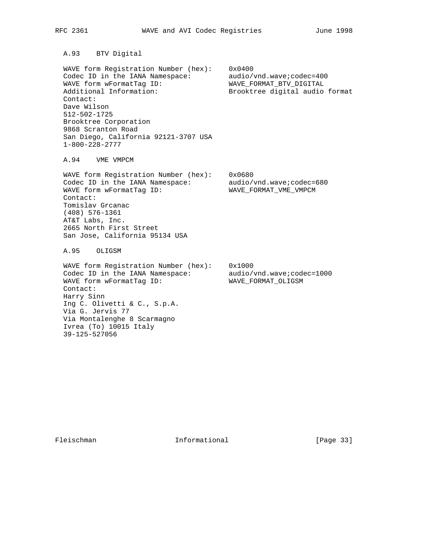A.93 BTV Digital

 WAVE form Registration Number (hex): 0x0400 Codec ID in the IANA Namespace: audio/vnd.wave;codec=400 WAVE form wFormatTag ID: WAVE\_FORMAT\_BTV\_DIGITAL Additional Information: Brooktree digital audio format Contact: Dave Wilson 512-502-1725 Brooktree Corporation 9868 Scranton Road San Diego, California 92121-3707 USA 1-800-228-2777

A.94 VME VMPCM

 WAVE form Registration Number (hex): 0x0680 Codec ID in the IANA Namespace: audio/vnd.wave;codec=680 WAVE form wFormatTag ID: WAVE\_FORMAT\_VME\_VMPCM Contact: Tomislav Grcanac (408) 576-1361 AT&T Labs, Inc. 2665 North First Street San Jose, California 95134 USA

A.95 OLIGSM

 WAVE form Registration Number (hex): 0x1000 Codec ID in the IANA Namespace: audio/vnd.wave;codec=1000 WAVE form wFormatTag ID: WAVE\_FORMAT\_OLIGSM Contact: Harry Sinn Ing C. Olivetti & C., S.p.A. Via G. Jervis 77 Via Montalenghe 8 Scarmagno Ivrea (To) 10015 Italy 39-125-527056

Fleischman Informational [Page 33]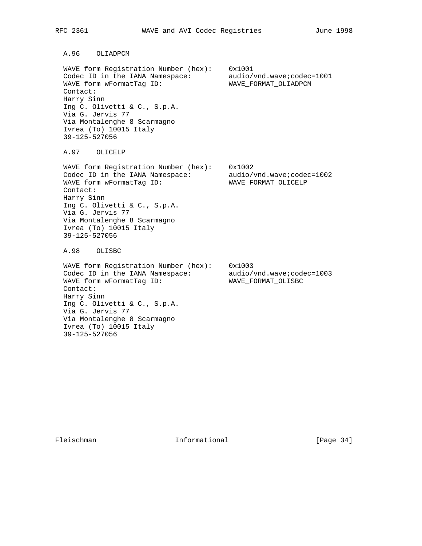A.96 OLIADPCM

 WAVE form Registration Number (hex): 0x1001 Codec ID in the IANA Namespace: audio/vnd.wave;codec=1001 WAVE form wFormatTag ID: WAVE\_FORMAT\_OLIADPCM Contact: Harry Sinn Ing C. Olivetti & C., S.p.A. Via G. Jervis 77 Via Montalenghe 8 Scarmagno Ivrea (To) 10015 Italy 39-125-527056

A.97 OLICELP

 WAVE form Registration Number (hex): 0x1002 Codec ID in the IANA Namespace: audio/vnd.wave;codec=1002 WAVE form wFormatTag ID: WAVE\_FORMAT\_OLICELP Contact: Harry Sinn Ing C. Olivetti & C., S.p.A. Via G. Jervis 77 Via Montalenghe 8 Scarmagno Ivrea (To) 10015 Italy 39-125-527056

A.98 OLISBC

 WAVE form Registration Number (hex): 0x1003 Codec ID in the IANA Namespace: audio/vnd.wave;codec=1003 WAVE form wFormatTag ID: WAVE\_FORMAT\_OLISBC Contact: Harry Sinn Ing C. Olivetti & C., S.p.A. Via G. Jervis 77 Via Montalenghe 8 Scarmagno Ivrea (To) 10015 Italy 39-125-527056

Fleischman Informational [Page 34]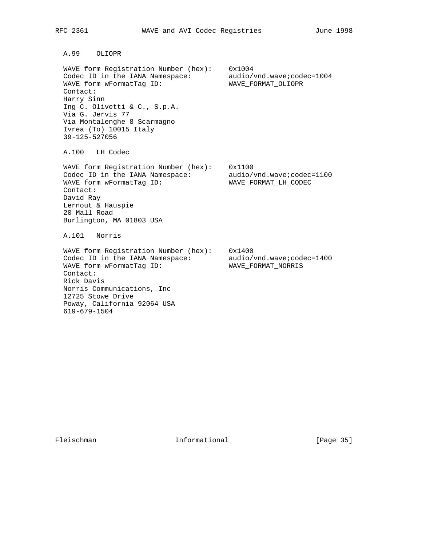A.99 OLIOPR

 WAVE form Registration Number (hex): 0x1004 Codec ID in the IANA Namespace: audio/vnd.wave;codec=1004 WAVE form wFormatTag ID: WAVE\_FORMAT\_OLIOPR Contact: Harry Sinn Ing C. Olivetti & C., S.p.A. Via G. Jervis 77 Via Montalenghe 8 Scarmagno Ivrea (To) 10015 Italy 39-125-527056

A.100 LH Codec

 WAVE form Registration Number (hex): 0x1100 Codec ID in the IANA Namespace: audio/vnd.wave;codec=1100 WAVE form wFormatTag ID: WAVE\_FORMAT\_LH\_CODEC Contact: David Ray Lernout & Hauspie 20 Mall Road Burlington, MA 01803 USA

A.101 Norris

 WAVE form Registration Number (hex): 0x1400 Codec ID in the IANA Namespace: audio/vnd.wave;codec=1400 WAVE form wFormatTag ID: WAVE\_FORMAT\_NORRIS Contact: Rick Davis Norris Communications, Inc 12725 Stowe Drive Poway, California 92064 USA 619-679-1504

Fleischman Informational [Page 35]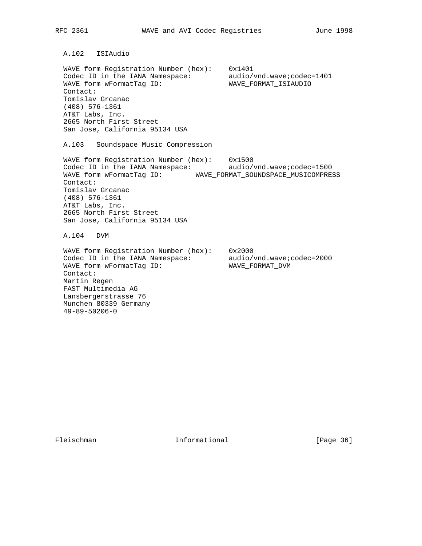A.102 ISIAudio WAVE form Registration Number (hex): 0x1401 Codec ID in the IANA Namespace: audio/vnd.wave;codec=1401 WAVE form wFormatTag ID: WAVE\_FORMAT\_ISIAUDIO Contact: Tomislav Grcanac (408) 576-1361 AT&T Labs, Inc. 2665 North First Street San Jose, California 95134 USA A.103 Soundspace Music Compression WAVE form Registration Number (hex): 0x1500 Codec ID in the IANA Namespace: audio/vnd.wave;codec=1500 WAVE form wFormatTag ID: WAVE\_FORMAT\_SOUNDSPACE\_MUSICOMPRESS Contact: Tomislav Grcanac (408) 576-1361 AT&T Labs, Inc. 2665 North First Street San Jose, California 95134 USA A.104 DVM WAVE form Registration Number (hex): 0x2000 Codec ID in the IANA Namespace: audio/vnd.wave;codec=2000 WAVE form wFormatTag ID: WAVE\_FORMAT\_DVM Contact: Martin Regen FAST Multimedia AG Lansbergerstrasse 76 Munchen 80339 Germany

49-89-50206-0

Fleischman Informational [Page 36]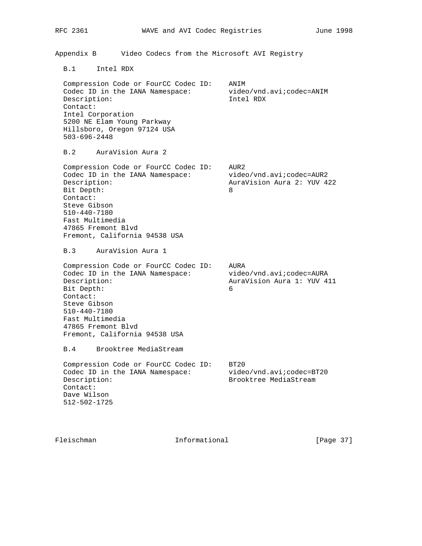Appendix B Video Codecs from the Microsoft AVI Registry

B.1 Intel RDX

 Compression Code or FourCC Codec ID: ANIM Codec ID in the IANA Namespace: video/vnd.avi;codec=ANIM Description: Intel RDX Contact: Intel Corporation 5200 NE Elam Young Parkway Hillsboro, Oregon 97124 USA 503-696-2448

B.2 AuraVision Aura 2

 Compression Code or FourCC Codec ID: AUR2 Codec ID in the IANA Namespace: video/vnd.avi; codec=AUR2 Description: AuraVision Aura 2: YUV 422 Bit Depth: 8 Contact: Steve Gibson 510-440-7180 Fast Multimedia 47865 Fremont Blvd Fremont, California 94538 USA

B.3 AuraVision Aura 1

 Compression Code or FourCC Codec ID: AURA Codec ID in the IANA Namespace: video/vnd.avi;codec=AURA Description: AuraVision Aura 1: YUV 411 Bit Depth: 6 Contact: Steve Gibson 510-440-7180 Fast Multimedia 47865 Fremont Blvd Fremont, California 94538 USA

B.4 Brooktree MediaStream

Compression Code or FourCC Codec ID: BT20 Codec ID in the IANA Namespace: video/vnd.avi; codec=BT20 Description: Brooktree MediaStream Contact: Dave Wilson 512-502-1725

Fleischman 10 Informational [Page 37]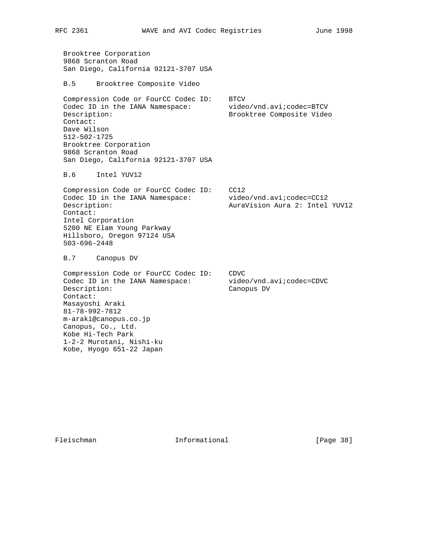Brooktree Corporation 9868 Scranton Road San Diego, California 92121-3707 USA

B.5 Brooktree Composite Video

Compression Code or FourCC Codec ID: BTCV Codec ID in the IANA Namespace: video/vnd.avi; codec=BTCV Description: Brooktree Composite Video Contact: Dave Wilson 512-502-1725 Brooktree Corporation 9868 Scranton Road San Diego, California 92121-3707 USA

B.6 Intel YUV12

 Compression Code or FourCC Codec ID: CC12 Codec ID in the IANA Namespace: video/vnd.avi; codec=CC12 Description: AuraVision Aura 2: Intel YUV12 Contact: Intel Corporation 5200 NE Elam Young Parkway Hillsboro, Oregon 97124 USA 503-696-2448

B.7 Canopus DV

 Compression Code or FourCC Codec ID: CDVC Codec ID in the IANA Namespace: video/vnd.avi;codec=CDVC Description: Canopus DV Contact: Masayoshi Araki 81-78-992-7812 m-araki@canopus.co.jp Canopus, Co., Ltd. Kobe Hi-Tech Park 1-2-2 Murotani, Nishi-ku Kobe, Hyogo 651-22 Japan

Fleischman Informational [Page 38]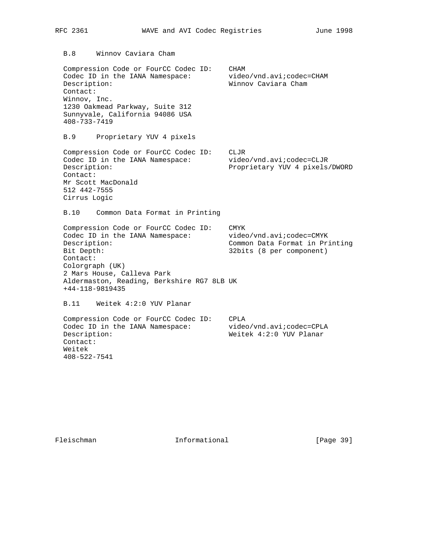Compression Code or FourCC Codec ID: CHAM Codec ID in the IANA Namespace: video/vnd.avi; codec=CHAM Description: Winnov Caviara Cham Contact: Winnov, Inc. 1230 Oakmead Parkway, Suite 312 Sunnyvale, California 94086 USA 408-733-7419 B.9 Proprietary YUV 4 pixels Compression Code or FourCC Codec ID: CLJR Codec ID in the IANA Namespace: video/vnd.avi;codec=CLJR Description: Proprietary YUV 4 pixels/DWORD Contact: Mr Scott MacDonald 512 442-7555 Cirrus Logic B.10 Common Data Format in Printing Compression Code or FourCC Codec ID: CMYK Codec ID in the IANA Namespace: video/vnd.avi;codec=CMYK Description: Common Data Format in Printing Bit Depth: 32bits (8 per component) Contact: Colorgraph (UK) 2 Mars House, Calleva Park Aldermaston, Reading, Berkshire RG7 8LB UK +44-118-9819435 B.11 Weitek 4:2:0 YUV Planar Compression Code or FourCC Codec ID: CPLA Codec ID in the IANA Namespace: video/vnd.avi;codec=CPLA Description: Weitek 4:2:0 YUV Planar Contact: Weitek

408-522-7541

Fleischman 10. Informational [Page 39]

B.8 Winnov Caviara Cham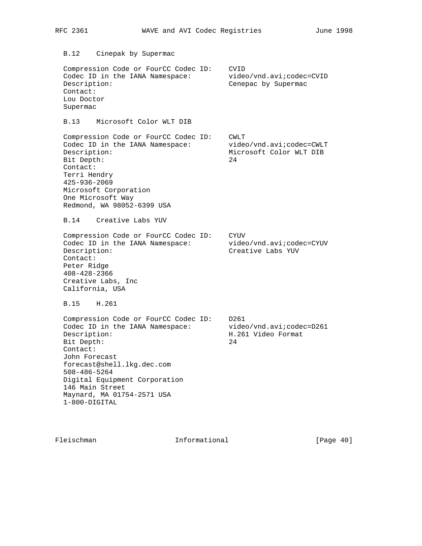| RFC 2361                                                                                                                                                                                                                                                                                  |                         |  | WAVE and AVI Codec Registries |                                                     | June 1998 |
|-------------------------------------------------------------------------------------------------------------------------------------------------------------------------------------------------------------------------------------------------------------------------------------------|-------------------------|--|-------------------------------|-----------------------------------------------------|-----------|
| B.12<br>Cinepak by Supermac                                                                                                                                                                                                                                                               |                         |  |                               |                                                     |           |
| Compression Code or FourCC Codec ID:<br>Codec ID in the IANA Namespace:<br>Description:<br>Contact:<br>Lou Doctor<br>Supermac                                                                                                                                                             |                         |  | CVID                          | video/vnd.avi;codec=CVID<br>Cenepac by Supermac     |           |
| B.13                                                                                                                                                                                                                                                                                      | Microsoft Color WLT DIB |  |                               |                                                     |           |
| Compression Code or FourCC Codec ID:<br>Codec ID in the IANA Namespace:<br>Description:<br>Bit Depth:<br>Contact:<br>Terri Hendry<br>425-936-2069<br>Microsoft Corporation<br>One Microsoft Way<br>Redmond, WA 98052-6399 USA<br>B.14<br>Creative Labs YUV                                |                         |  | CWLT<br>24                    | video/vnd.avi;codec=CWLT<br>Microsoft Color WLT DIB |           |
|                                                                                                                                                                                                                                                                                           |                         |  |                               |                                                     |           |
| Compression Code or FourCC Codec ID:<br>Codec ID in the IANA Namespace:<br>Description:<br>Contact:<br>Peter Ridge<br>$408 - 428 - 2366$<br>Creative Labs, Inc<br>California, USA                                                                                                         |                         |  | CYUV<br>Creative Labs YUV     | video/vnd.avi;codec=CYUV                            |           |
| H.261<br>B.15                                                                                                                                                                                                                                                                             |                         |  |                               |                                                     |           |
| Compression Code or FourCC Codec ID:<br>Codec ID in the IANA Namespace:<br>Description:<br>Bit Depth:<br>Contact:<br>John Forecast<br>forecast@shell.lkg.dec.com<br>$508 - 486 - 5264$<br>Digital Equipment Corporation<br>146 Main Street<br>Maynard, MA 01754-2571 USA<br>1-800-DIGITAL |                         |  | D261<br>24                    | video/vnd.avi;codec=D261<br>H.261 Video Format      |           |
|                                                                                                                                                                                                                                                                                           |                         |  |                               |                                                     |           |

Fleischman Informational [Page 40]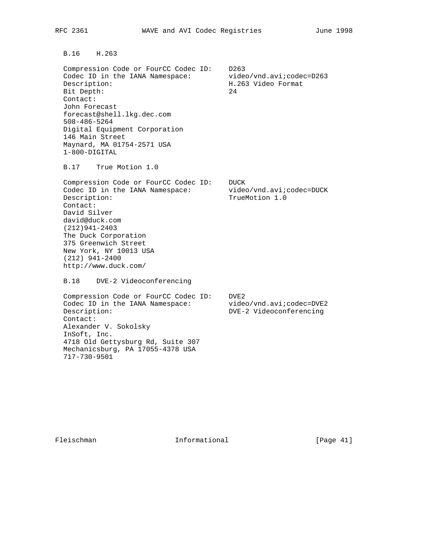B.16 H.263

 Compression Code or FourCC Codec ID: D263 Codec ID in the IANA Namespace: video/vnd.avi; codec=D263 Description: The Contract of the Boss of the Boss of H.263 Video Format Bit Depth: 24 Contact: John Forecast forecast@shell.lkg.dec.com 508-486-5264 Digital Equipment Corporation 146 Main Street Maynard, MA 01754-2571 USA 1-800-DIGITAL

B.17 True Motion 1.0

 Compression Code or FourCC Codec ID: DUCK Codec ID in the IANA Namespace: video/vnd.avi; codec=DUCK Description: TrueMotion 1.0 Contact: David Silver david@duck.com (212)941-2403 The Duck Corporation 375 Greenwich Street New York, NY 10013 USA (212) 941-2400 http://www.duck.com/

B.18 DVE-2 Videoconferencing

 Compression Code or FourCC Codec ID: DVE2 Codec ID in the IANA Namespace: video/vnd.avi; codec=DVE2 Description: DVE-2 Videoconferencing Contact: Alexander V. Sokolsky InSoft, Inc. 4718 Old Gettysburg Rd, Suite 307 Mechanicsburg, PA 17055-4378 USA 717-730-9501

Fleischman 10 Informational [Page 41]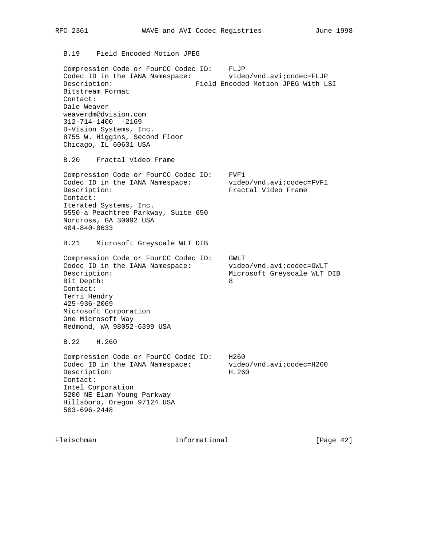B.19 Field Encoded Motion JPEG

 Compression Code or FourCC Codec ID: FLJP Codec ID in the IANA Namespace: video/vnd.avi; codec=FLJP Description: Field Encoded Motion JPEG With LSI Bitstream Format Contact: Dale Weaver weaverdm@dvision.com 312-714-1400 -2169 D-Vision Systems, Inc. 8755 W. Higgins, Second Floor Chicago, IL 60631 USA

B.20 Fractal Video Frame

 Compression Code or FourCC Codec ID: FVF1 Codec ID in the IANA Namespace: video/vnd.avi;codec=FVF1 Description: Fractal Video Frame Contact: Iterated Systems, Inc. 5550-a Peachtree Parkway, Suite 650 Norcross, GA 30092 USA 404-840-0633

B.21 Microsoft Greyscale WLT DIB

 Compression Code or FourCC Codec ID: GWLT Codec ID in the IANA Namespace: video/vnd.avi; codec=GWLT Description: Microsoft Greyscale WLT DIB Bit Depth: 8 Contact: Terri Hendry 425-936-2069 Microsoft Corporation One Microsoft Way Redmond, WA 98052-6399 USA

B.22 H.260

 Compression Code or FourCC Codec ID: H260 Codec ID in the IANA Namespace: video/vnd.avi;codec=H260 Description: H.260 Contact: Intel Corporation 5200 NE Elam Young Parkway Hillsboro, Oregon 97124 USA 503-696-2448

Fleischman Informational [Page 42]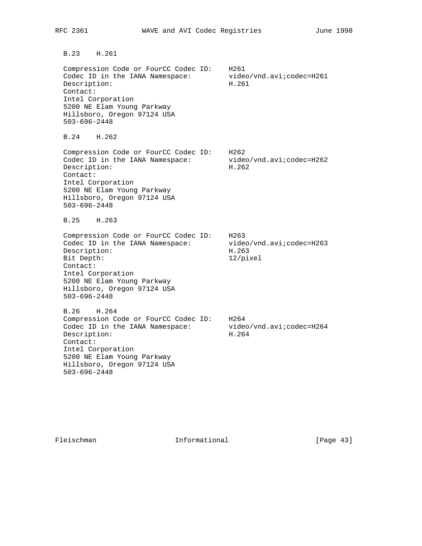B.23 H.261

 Compression Code or FourCC Codec ID: H261 Codec ID in the IANA Namespace: video/vnd.avi; codec=H261 Description: H.261 Contact: Intel Corporation 5200 NE Elam Young Parkway Hillsboro, Oregon 97124 USA 503-696-2448

B.24 H.262

 Compression Code or FourCC Codec ID: H262 Codec ID in the IANA Namespace: video/vnd.avi;codec=H262 Description: H.262 Contact: Intel Corporation 5200 NE Elam Young Parkway Hillsboro, Oregon 97124 USA 503-696-2448

B.25 H.263

Compression Code or FourCC Codec ID: H263<br>Codec ID in the IANA Namespace: video/vnd.avi:codec=H263 Codec ID in the IANA Namespace: Description: H.263 Bit Depth: 12/pixel Contact: Intel Corporation 5200 NE Elam Young Parkway Hillsboro, Oregon 97124 USA 503-696-2448

 B.26 H.264 Compression Code or FourCC Codec ID: H264 Codec ID in the IANA Namespace: video/vnd.avi; codec=H264 Description: H.264 Contact: Intel Corporation 5200 NE Elam Young Parkway Hillsboro, Oregon 97124 USA 503-696-2448

Fleischman Informational [Page 43]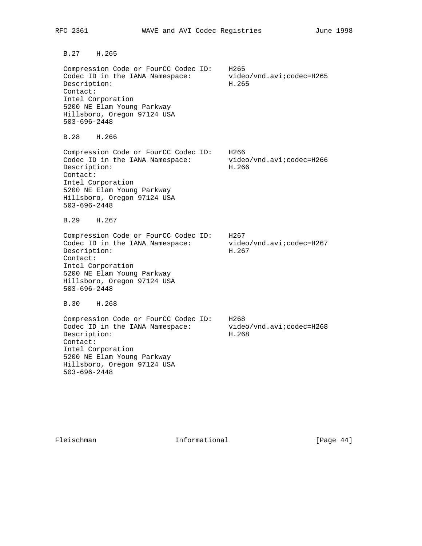B.27 H.265

 Compression Code or FourCC Codec ID: H265 Codec ID in the IANA Namespace: video/vnd.avi; codec=H265 Description: H.265 Contact: Intel Corporation 5200 NE Elam Young Parkway Hillsboro, Oregon 97124 USA 503-696-2448

B.28 H.266

 Compression Code or FourCC Codec ID: H266 Codec ID in the IANA Namespace: video/vnd.avi;codec=H266 Description: H.266 Contact: Intel Corporation 5200 NE Elam Young Parkway Hillsboro, Oregon 97124 USA 503-696-2448

B.29 H.267

 Compression Code or FourCC Codec ID: H267 Codec ID in the IANA Namespace: video/vnd.avi; codec=H267 Description: H.267 Contact: Intel Corporation 5200 NE Elam Young Parkway Hillsboro, Oregon 97124 USA 503-696-2448

B.30 H.268

 Compression Code or FourCC Codec ID: H268 Codec ID in the IANA Namespace: video/vnd.avi; codec=H268 Description: H.268 Contact: Intel Corporation 5200 NE Elam Young Parkway Hillsboro, Oregon 97124 USA 503-696-2448

Fleischman Informational [Page 44]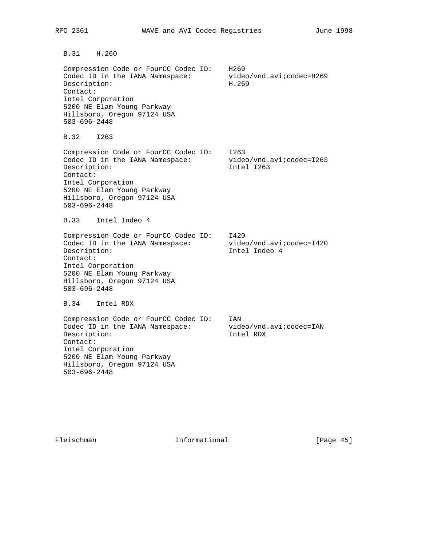B.31 H.260

 Compression Code or FourCC Codec ID: H269 Codec ID in the IANA Namespace: video/vnd.avi; codec=H269 Description: H.269 Contact: Intel Corporation 5200 NE Elam Young Parkway Hillsboro, Oregon 97124 USA 503-696-2448

B.32 I263

 Compression Code or FourCC Codec ID: I263 Codec ID in the IANA Namespace: video/vnd.avi;codec=I263 Description: Intel I263 Contact: Intel Corporation 5200 NE Elam Young Parkway Hillsboro, Oregon 97124 USA 503-696-2448

B.33 Intel Indeo 4

 Compression Code or FourCC Codec ID: I420 Codec ID in the IANA Namespace: video/vnd.avi; codec=I420 Description: Intel Indeo 4 Contact: Intel Corporation 5200 NE Elam Young Parkway Hillsboro, Oregon 97124 USA 503-696-2448

B.34 Intel RDX

 Compression Code or FourCC Codec ID: IAN Codec ID in the IANA Namespace: video/vnd.avi;codec=IAN Description: Intel RDX Contact: Intel Corporation 5200 NE Elam Young Parkway Hillsboro, Oregon 97124 USA 503-696-2448

Fleischman 1nformational [Page 45]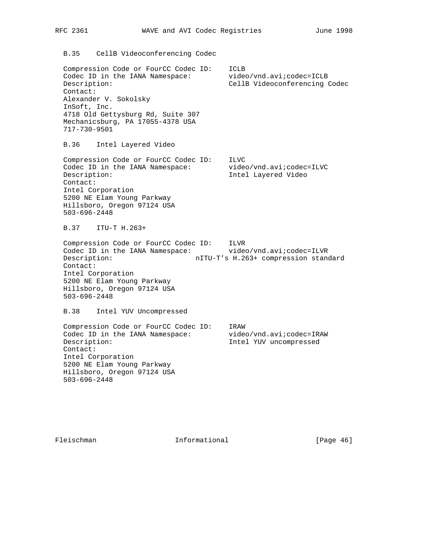| RFC 2361         |                                                                                                                                                                                                                           |  | WAVE and AVI Codec Registries |                                                                  | June 1998 |
|------------------|---------------------------------------------------------------------------------------------------------------------------------------------------------------------------------------------------------------------------|--|-------------------------------|------------------------------------------------------------------|-----------|
|                  | B.35 CellB Videoconferencing Codec                                                                                                                                                                                        |  |                               |                                                                  |           |
| Contact:         | Compression Code or FourCC Codec ID:<br>Codec ID in the IANA Namespace:<br>Description:<br>Alexander V. Sokolsky<br>InSoft, Inc.<br>4718 Old Gettysburg Rd, Suite 307<br>Mechanicsburg, PA 17055-4378 USA<br>717-730-9501 |  | ICLB                          | video/vnd.avi;codec=ICLB<br>CellB Videoconferencing Codec        |           |
| B.36<br>Contact: | Intel Layered Video<br>Compression Code or FourCC Codec ID:<br>Codec ID in the IANA Namespace:<br>Description:<br>Intel Corporation<br>5200 NE Elam Young Parkway<br>Hillsboro, Oregon 97124 USA<br>$503 - 696 - 2448$    |  | ILVC<br>Intel Layered Video   | video/vnd.avi;codec=ILVC                                         |           |
| B.37             | ITU-T H.263+                                                                                                                                                                                                              |  |                               |                                                                  |           |
| Contact:         | Compression Code or FourCC Codec ID:<br>Codec ID in the IANA Namespace:<br>Description:<br>Intel Corporation<br>5200 NE Elam Young Parkway<br>Hillsboro, Oregon 97124 USA<br>$503 - 696 - 2448$                           |  | ILVR                          | video/vnd.avi;codec=ILVR<br>nITU-T's H.263+ compression standard |           |
| B.38             | Intel YUV Uncompressed                                                                                                                                                                                                    |  |                               |                                                                  |           |
| Contact:         | Compression Code or FourCC Codec ID:<br>Codec ID in the IANA Namespace:<br>Description:<br>Intel Corporation<br>5200 NE Elam Young Parkway<br>Hillsboro, Oregon 97124 USA<br>$503 - 696 - 2448$                           |  | IRAW                          | video/vnd.avi;codec=IRAW<br>Intel YUV uncompressed               |           |

Fleischman Informational [Page 46]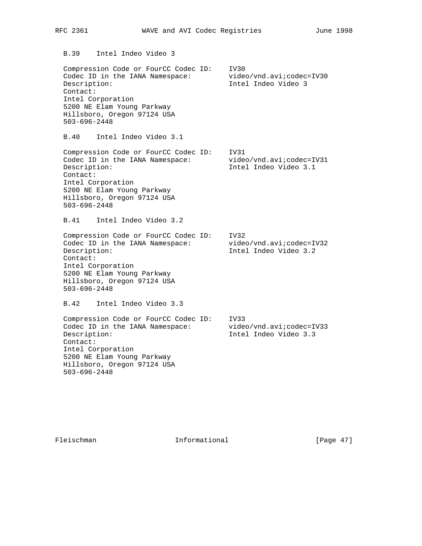B.39 Intel Indeo Video 3

 Compression Code or FourCC Codec ID: IV30 Codec ID in the IANA Namespace: video/vnd.avi; codec=IV30 Description: Intel Indeo Video 3 Contact: Intel Corporation 5200 NE Elam Young Parkway Hillsboro, Oregon 97124 USA 503-696-2448

B.40 Intel Indeo Video 3.1

 Compression Code or FourCC Codec ID: IV31 Codec ID in the IANA Namespace: video/vnd.avi;codec=IV31 Description: Intel Indeo Video 3.1 Contact: Intel Corporation 5200 NE Elam Young Parkway Hillsboro, Oregon 97124 USA 503-696-2448

B.41 Intel Indeo Video 3.2

 Compression Code or FourCC Codec ID: IV32 Codec ID in the IANA Namespace: video/vnd.avi;codec=IV32 Description: Intel Indeo Video 3.2 Contact: Intel Corporation 5200 NE Elam Young Parkway Hillsboro, Oregon 97124 USA 503-696-2448

B.42 Intel Indeo Video 3.3

 Compression Code or FourCC Codec ID: IV33 Codec ID in the IANA Namespace: video/vnd.avi;codec=IV33 Description: Intel Indeo Video 3.3 Contact: Intel Corporation 5200 NE Elam Young Parkway Hillsboro, Oregon 97124 USA 503-696-2448

Fleischman Informational [Page 47]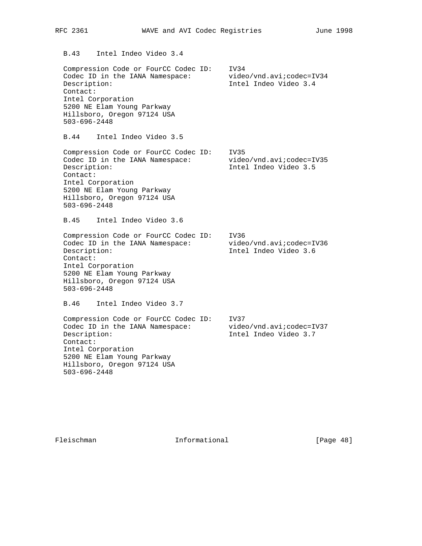Compression Code or FourCC Codec ID: IV34 Codec ID in the IANA Namespace: video/vnd.avi; codec=IV34 Description: Intel Indeo Video 3.4 Contact: Intel Corporation 5200 NE Elam Young Parkway Hillsboro, Oregon 97124 USA 503-696-2448 B.44 Intel Indeo Video 3.5 Compression Code or FourCC Codec ID: IV35 Codec ID in the IANA Namespace: video/vnd.avi;codec=IV35 Description: Intel Indeo Video 3.5 Contact: Intel Corporation 5200 NE Elam Young Parkway Hillsboro, Oregon 97124 USA 503-696-2448 B.45 Intel Indeo Video 3.6 Compression Code or FourCC Codec ID: IV36 Codec ID in the IANA Namespace: video/vnd.avi; codec=IV36 Description: Intel Indeo Video 3.6 Contact: Intel Corporation 5200 NE Elam Young Parkway Hillsboro, Oregon 97124 USA 503-696-2448 B.46 Intel Indeo Video 3.7 Compression Code or FourCC Codec ID: IV37 Codec ID in the IANA Namespace: video/vnd.avi; codec=IV37 Description: Intel Indeo Video 3.7 Contact: Intel Corporation 5200 NE Elam Young Parkway Hillsboro, Oregon 97124 USA 503-696-2448

Fleischman Informational [Page 48]

B.43 Intel Indeo Video 3.4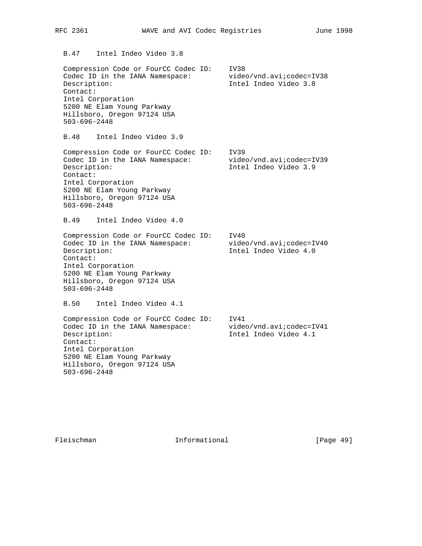B.47 Intel Indeo Video 3.8

 Compression Code or FourCC Codec ID: IV38 Codec ID in the IANA Namespace: video/vnd.avi; codec=IV38 Description: Intel Indeo Video 3.8 Contact: Intel Corporation 5200 NE Elam Young Parkway Hillsboro, Oregon 97124 USA 503-696-2448

B.48 Intel Indeo Video 3.9

 Compression Code or FourCC Codec ID: IV39 Codec ID in the IANA Namespace: video/vnd.avi;codec=IV39 Description: Intel Indeo Video 3.9 Contact: Intel Corporation 5200 NE Elam Young Parkway Hillsboro, Oregon 97124 USA 503-696-2448

B.49 Intel Indeo Video 4.0

 Compression Code or FourCC Codec ID: IV40 Codec ID in the IANA Namespace: video/vnd.avi; codec=IV40 Description: Intel Indeo Video 4.0 Contact: Intel Corporation 5200 NE Elam Young Parkway Hillsboro, Oregon 97124 USA 503-696-2448

B.50 Intel Indeo Video 4.1

 Compression Code or FourCC Codec ID: IV41 Codec ID in the IANA Namespace: video/vnd.avi; codec=IV41 Description: Intel Indeo Video 4.1 Contact: Intel Corporation 5200 NE Elam Young Parkway Hillsboro, Oregon 97124 USA 503-696-2448

Fleischman Informational [Page 49]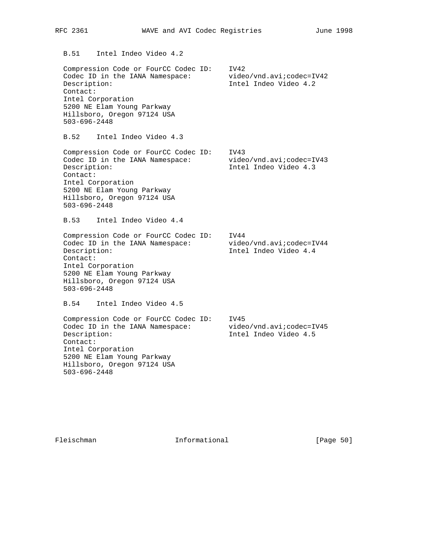Compression Code or FourCC Codec ID: IV42 Codec ID in the IANA Namespace: video/vnd.avi; codec=IV42 Description: Intel Indeo Video 4.2 Contact: Intel Corporation 5200 NE Elam Young Parkway Hillsboro, Oregon 97124 USA 503-696-2448 B.52 Intel Indeo Video 4.3 Compression Code or FourCC Codec ID: IV43 Codec ID in the IANA Namespace: video/vnd.avi;codec=IV43 Description: Intel Indeo Video 4.3 Contact: Intel Corporation 5200 NE Elam Young Parkway Hillsboro, Oregon 97124 USA 503-696-2448 B.53 Intel Indeo Video 4.4 Compression Code or FourCC Codec ID: IV44 Codec ID in the IANA Namespace: video/vnd.avi; codec=IV44 Description: Intel Indeo Video 4.4 Contact: Intel Corporation 5200 NE Elam Young Parkway Hillsboro, Oregon 97124 USA 503-696-2448 B.54 Intel Indeo Video 4.5 Compression Code or FourCC Codec ID: IV45 Codec ID in the IANA Namespace: video/vnd.avi; codec=IV45 Description: Intel Indeo Video 4.5 Contact: Intel Corporation 5200 NE Elam Young Parkway Hillsboro, Oregon 97124 USA 503-696-2448

Fleischman 1nformational [Page 50]

B.51 Intel Indeo Video 4.2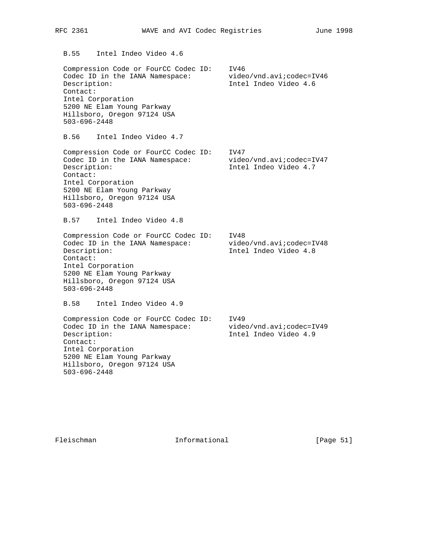B.55 Intel Indeo Video 4.6 Compression Code or FourCC Codec ID: IV46 Codec ID in the IANA Namespace: video/vnd.avi; codec=IV46 Description: Intel Indeo Video 4.6 Contact: Intel Corporation 5200 NE Elam Young Parkway Hillsboro, Oregon 97124 USA 503-696-2448 B.56 Intel Indeo Video 4.7 Compression Code or FourCC Codec ID: IV47 Codec ID in the IANA Namespace: video/vnd.avi;codec=IV47 Description: Intel Indeo Video 4.7 Contact: Intel Corporation 5200 NE Elam Young Parkway Hillsboro, Oregon 97124 USA 503-696-2448 B.57 Intel Indeo Video 4.8 Compression Code or FourCC Codec ID: IV48 Codec ID in the IANA Namespace: video/vnd.avi; codec=IV48 Description: Intel Indeo Video 4.8 Contact: Intel Corporation 5200 NE Elam Young Parkway Hillsboro, Oregon 97124 USA 503-696-2448 B.58 Intel Indeo Video 4.9 Compression Code or FourCC Codec ID: IV49 Codec ID in the IANA Namespace: video/vnd.avi; codec=IV49 Description: Intel Indeo Video 4.9 Contact: Intel Corporation

RFC 2361 WAVE and AVI Codec Registries June 1998

503-696-2448

 5200 NE Elam Young Parkway Hillsboro, Oregon 97124 USA

Fleischman 1nformational [Page 51]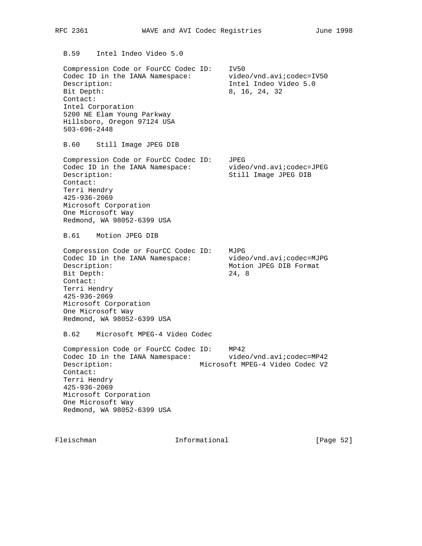B.59 Intel Indeo Video 5.0

 Compression Code or FourCC Codec ID: IV50 Codec ID in the IANA Namespace: video/vnd.avi;codec=IV50 Description: Intel Indeo Video 5.0 Bit Depth: 8, 16, 24, 32 Contact: Intel Corporation 5200 NE Elam Young Parkway Hillsboro, Oregon 97124 USA 503-696-2448

B.60 Still Image JPEG DIB

 Compression Code or FourCC Codec ID: JPEG Codec ID in the IANA Namespace: video/vnd.avi; codec=JPEG Description: Still Image JPEG DIB Contact: Terri Hendry 425-936-2069 Microsoft Corporation One Microsoft Way Redmond, WA 98052-6399 USA

B.61 Motion JPEG DIB

 Compression Code or FourCC Codec ID: MJPG Codec ID in the IANA Namespace: video/vnd.avi;codec=MJPG Description: Motion JPEG DIB Format Bit Depth: 24, 8 Contact: Terri Hendry 425-936-2069 Microsoft Corporation One Microsoft Way Redmond, WA 98052-6399 USA

B.62 Microsoft MPEG-4 Video Codec

 Compression Code or FourCC Codec ID: MP42 Codec ID in the IANA Namespace: video/vnd.avi; codec=MP42 Description: Microsoft MPEG-4 Video Codec V2 Contact: Terri Hendry 425-936-2069 Microsoft Corporation One Microsoft Way Redmond, WA 98052-6399 USA

Fleischman 10 Informational [Page 52]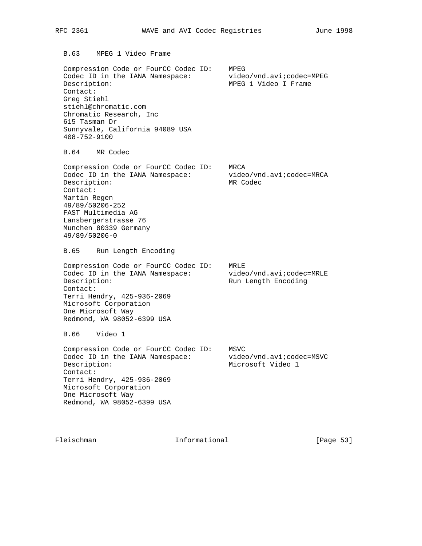B.63 MPEG 1 Video Frame

 Compression Code or FourCC Codec ID: MPEG Codec ID in the IANA Namespace: video/vnd.avi;codec=MPEG Description: MPEG 1 Video I Frame Contact: Greg Stiehl stiehl@chromatic.com Chromatic Research, Inc 615 Tasman Dr Sunnyvale, California 94089 USA 408-752-9100

B.64 MR Codec

 Compression Code or FourCC Codec ID: MRCA Codec ID in the IANA Namespace: video/vnd.avi; codec=MRCA Description: MR Codec Contact: Martin Regen 49/89/50206-252 FAST Multimedia AG Lansbergerstrasse 76 Munchen 80339 Germany 49/89/50206-0

B.65 Run Length Encoding

 Compression Code or FourCC Codec ID: MRLE Codec ID in the IANA Namespace: video/vnd.avi; codec=MRLE Description: Run Length Encoding Contact: Terri Hendry, 425-936-2069 Microsoft Corporation One Microsoft Way Redmond, WA 98052-6399 USA

B.66 Video 1

 Compression Code or FourCC Codec ID: MSVC Codec ID in the IANA Namespace: video/vnd.avi;codec=MSVC Description: Microsoft Video 1 Contact: Terri Hendry, 425-936-2069 Microsoft Corporation One Microsoft Way Redmond, WA 98052-6399 USA

Fleischman 10 Informational [Page 53]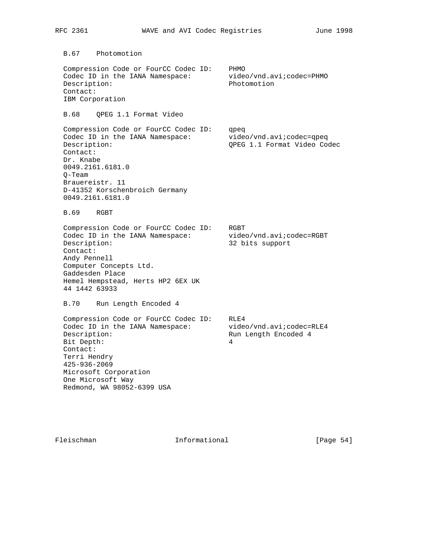B.67 Photomotion Compression Code or FourCC Codec ID: PHMO Codec ID in the IANA Namespace: video/vnd.avi; codec=PHMO Description: Photomotion Contact: IBM Corporation B.68 QPEG 1.1 Format Video Compression Code or FourCC Codec ID: qpeq Codec ID in the IANA Namespace: video/vnd.avi;codec=qpeq Description: QPEG 1.1 Format Video Codec Contact: Dr. Knabe 0049.2161.6181.0 Q-Team Brauereistr. 11 D-41352 Korschenbroich Germany 0049.2161.6181.0 B.69 RGBT Compression Code or FourCC Codec ID: RGBT Codec ID in the IANA Namespace: video/vnd.avi;codec=RGBT Description: 32 bits support Contact: Andy Pennell Computer Concepts Ltd. Gaddesden Place Hemel Hempstead, Herts HP2 6EX UK 44 1442 63933 B.70 Run Length Encoded 4 Compression Code or FourCC Codec ID: RLE4<br>Codec ID in the IANA Namespace: video/vnd.avi;codec=RLE4 Codec ID in the IANA Namespace: Description: The Run Length Encoded 4 Bit Depth: 4 Contact: Terri Hendry 425-936-2069 Microsoft Corporation One Microsoft Way Redmond, WA 98052-6399 USA

Fleischman 10 Informational [Page 54]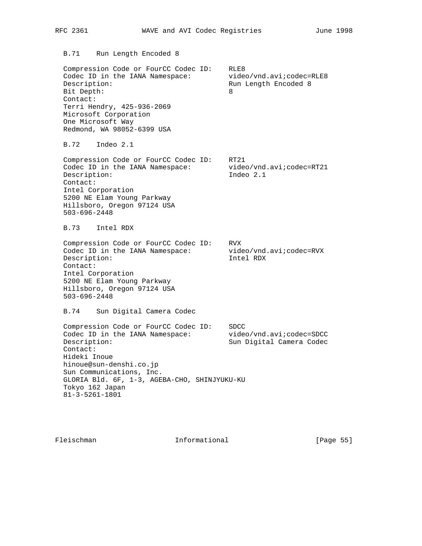B.71 Run Length Encoded 8 Compression Code or FourCC Codec ID: RLE8 Codec ID in the IANA Namespace: video/vnd.avi;codec=RLE8 Description: The Run Length Encoded 8 Bit Depth: 8 Contact: Terri Hendry, 425-936-2069 Microsoft Corporation One Microsoft Way Redmond, WA 98052-6399 USA B.72 Indeo 2.1 Compression Code or FourCC Codec ID: RT21 Codec ID in the IANA Namespace: video/vnd.avi; codec=RT21 Description: Indeo 2.1 Contact: Intel Corporation 5200 NE Elam Young Parkway Hillsboro, Oregon 97124 USA 503-696-2448 B.73 Intel RDX Compression Code or FourCC Codec ID: RVX Codec ID in the IANA Namespace: video/vnd.avi;codec=RVX Description: Intel RDX Contact: Intel Corporation 5200 NE Elam Young Parkway Hillsboro, Oregon 97124 USA 503-696-2448 B.74 Sun Digital Camera Codec Compression Code or FourCC Codec ID: SDCC Codec ID in the IANA Namespace: video/vnd.avi; codec=SDCC Description: Sun Digital Camera Codec Contact: Hideki Inoue

RFC 2361 WAVE and AVI Codec Registries June 1998

 hinoue@sun-denshi.co.jp Sun Communications, Inc. GLORIA Bld. 6F, 1-3, AGEBA-CHO, SHINJYUKU-KU Tokyo 162 Japan 81-3-5261-1801

Fleischman 10 Informational [Page 55]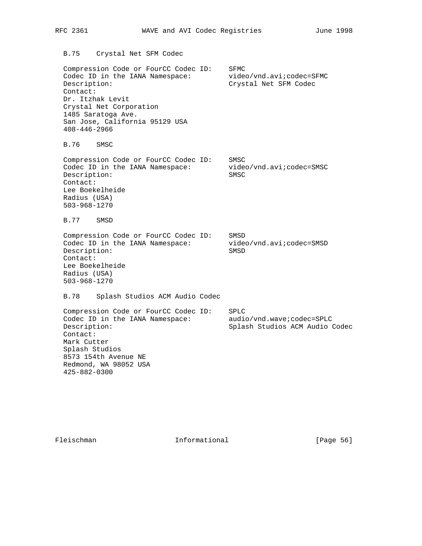B.75 Crystal Net SFM Codec Compression Code or FourCC Codec ID: SFMC Compression code of foreign:<br>Codec ID in the IANA Namespace: video/vnd.avi;codec=SFMC Description: Crystal Net SFM Codec Contact: Dr. Itzhak Levit Crystal Net Corporation 1485 Saratoga Ave. San Jose, California 95129 USA 408-446-2966 B.76 SMSC Compression Code or FourCC Codec ID: SMSC Codec ID in the IANA Namespace: video/vnd.avi; codec=SMSC Description: SMSC Contact: Lee Boekelheide Radius (USA) 503-968-1270 B.77 SMSD Compression Code or FourCC Codec ID: SMSD Codec ID in the IANA Namespace: video/vnd.avi; codec=SMSD Description: SMSD Contact: Lee Boekelheide Radius (USA) 503-968-1270 B.78 Splash Studios ACM Audio Codec Compression Code or FourCC Codec ID: SPLC Codec ID in the IANA Namespace: audio/vnd.wave;codec=SPLC Description: Splash Studios ACM Audio Codec Contact: Mark Cutter Splash Studios 8573 154th Avenue NE Redmond, WA 98052 USA 425-882-0300

Fleischman 1nformational [Page 56]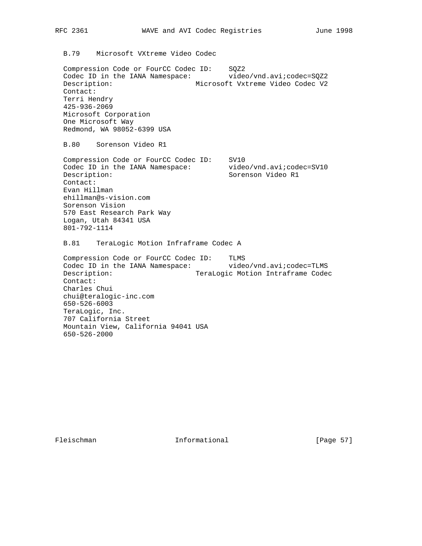B.79 Microsoft VXtreme Video Codec

 Compression Code or FourCC Codec ID: SQZ2 Codec ID in the IANA Namespace: video/vnd.avi;codec=SQZ2 Description: Microsoft Vxtreme Video Codec V2 Contact: Terri Hendry 425-936-2069 Microsoft Corporation One Microsoft Way Redmond, WA 98052-6399 USA

B.80 Sorenson Video R1

 Compression Code or FourCC Codec ID: SV10 Codec ID in the IANA Namespace: video/vnd.avi; codec=SV10 Description:  $S$ orenson Video R1 Contact: Evan Hillman ehillman@s-vision.com Sorenson Vision 570 East Research Park Way Logan, Utah 84341 USA 801-792-1114

B.81 TeraLogic Motion Infraframe Codec A

 Compression Code or FourCC Codec ID: TLMS Codec ID in the IANA Namespace: video/vnd.avi; codec=TLMS Description: TeraLogic Motion Intraframe Codec Contact: Charles Chui chui@teralogic-inc.com 650-526-6003 TeraLogic, Inc. 707 California Street Mountain View, California 94041 USA 650-526-2000

Fleischman Informational [Page 57]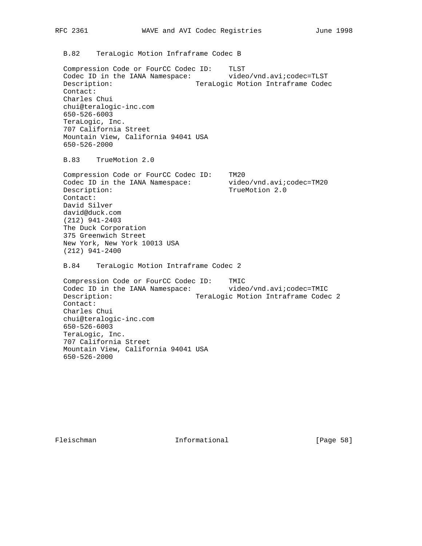B.82 TeraLogic Motion Infraframe Codec B

 Compression Code or FourCC Codec ID: TLST Codec ID in the IANA Namespace: video/vnd.avi; codec=TLST Description: TeraLogic Motion Intraframe Codec Contact: Charles Chui chui@teralogic-inc.com 650-526-6003 TeraLogic, Inc. 707 California Street Mountain View, California 94041 USA 650-526-2000

B.83 TrueMotion 2.0

 Compression Code or FourCC Codec ID: TM20 Codec ID in the IANA Namespace: video/vnd.avi;codec=TM20 Description: TrueMotion 2.0 Contact: David Silver david@duck.com (212) 941-2403 The Duck Corporation 375 Greenwich Street New York, New York 10013 USA (212) 941-2400

B.84 TeraLogic Motion Intraframe Codec 2

 Compression Code or FourCC Codec ID: TMIC Codec ID in the IANA Namespace: video/vnd.avi; codec=TMIC Description: TeraLogic Motion Intraframe Codec 2 Contact: Charles Chui chui@teralogic-inc.com 650-526-6003 TeraLogic, Inc. 707 California Street Mountain View, California 94041 USA 650-526-2000

Fleischman 10. Informational [Page 58]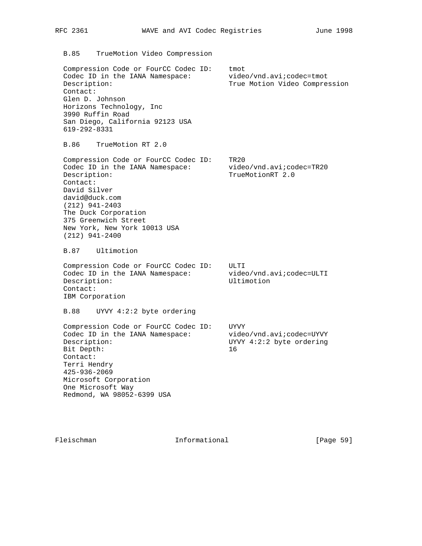B.85 TrueMotion Video Compression

 Compression Code or FourCC Codec ID: tmot Codec ID in the IANA Namespace: video/vnd.avi/codec=tmot Description: True Motion Video Compression Contact: Glen D. Johnson Horizons Technology, Inc 3990 Ruffin Road San Diego, California 92123 USA 619-292-8331

B.86 TrueMotion RT 2.0

 Compression Code or FourCC Codec ID: TR20 Codec ID in the IANA Namespace: video/vnd.avi; codec=TR20 Description: TrueMotionRT 2.0 Contact: David Silver david@duck.com (212) 941-2403 The Duck Corporation 375 Greenwich Street New York, New York 10013 USA (212) 941-2400

B.87 Ultimotion

 Compression Code or FourCC Codec ID: ULTI Codec ID in the IANA Namespace: video/vnd.avi;codec=ULTI Description: Ultimotion Contact: IBM Corporation

B.88 UYVY 4:2:2 byte ordering

 Compression Code or FourCC Codec ID: UYVY Codec ID in the IANA Namespace: video/vnd.avi;codec=UYVY Description: UYVY 4:2:2 byte ordering Bit Depth: 16 Contact: Terri Hendry 425-936-2069 Microsoft Corporation One Microsoft Way Redmond, WA 98052-6399 USA

Fleischman 10 Informational [Page 59]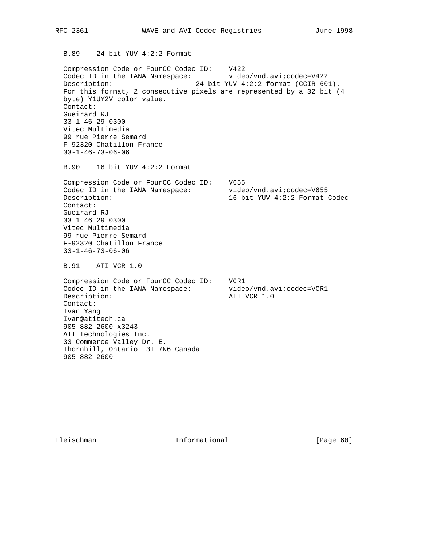B.89 24 bit YUV 4:2:2 Format

 Compression Code or FourCC Codec ID: V422 Codec ID in the IANA Namespace: video/vnd.avi; codec=V422 Description: 24 bit YUV 4:2:2 format (CCIR 601). For this format, 2 consecutive pixels are represented by a 32 bit (4 byte) Y1UY2V color value. Contact: Gueirard RJ 33 1 46 29 0300 Vitec Multimedia 99 rue Pierre Semard F-92320 Chatillon France 33-1-46-73-06-06

B.90 16 bit YUV 4:2:2 Format

 Compression Code or FourCC Codec ID: V655 Codec ID in the IANA Namespace: video/vnd.avi;codec=V655 Description: 16 bit YUV 4:2:2 Format Codec Contact: Gueirard RJ 33 1 46 29 0300 Vitec Multimedia 99 rue Pierre Semard F-92320 Chatillon France 33-1-46-73-06-06

B.91 ATI VCR 1.0

 Compression Code or FourCC Codec ID: VCR1 Codec ID in the IANA Namespace: video/vnd.avi; codec=VCR1 Description:  $\blacksquare$  ATI VCR 1.0 Contact: Ivan Yang Ivan@atitech.ca 905-882-2600 x3243 ATI Technologies Inc. 33 Commerce Valley Dr. E. Thornhill, Ontario L3T 7N6 Canada 905-882-2600

Fleischman 1nformational [Page 60]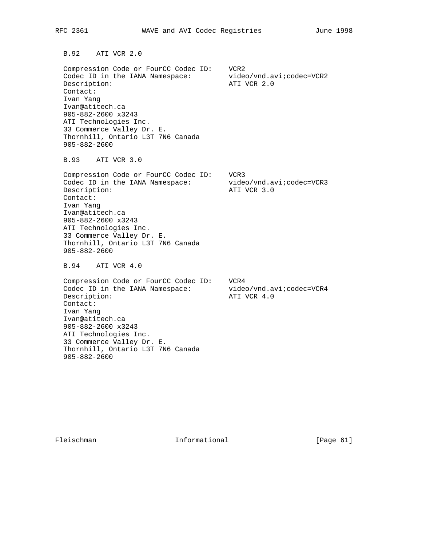B.92 ATI VCR 2.0 Compression Code or FourCC Codec ID: VCR2 Codec ID in the IANA Namespace: video/vnd.avi; codec=VCR2 Description:  $\overline{A}$  ATI VCR 2.0 Contact: Ivan Yang Ivan@atitech.ca 905-882-2600 x3243

 ATI Technologies Inc. 33 Commerce Valley Dr. E. Thornhill, Ontario L3T 7N6 Canada 905-882-2600

B.93 ATI VCR 3.0

 Compression Code or FourCC Codec ID: VCR3 Codec ID in the IANA Namespace: video/vnd.avi;codec=VCR3 Description:  $\overline{A}$  ATI VCR 3.0 Contact: Ivan Yang Ivan@atitech.ca 905-882-2600 x3243 ATI Technologies Inc. 33 Commerce Valley Dr. E. Thornhill, Ontario L3T 7N6 Canada 905-882-2600

B.94 ATI VCR 4.0

 Compression Code or FourCC Codec ID: VCR4 Codec ID in the IANA Namespace: video/vnd.avi; codec=VCR4 Description:  $\overline{A}$  ATI VCR 4.0 Contact: Ivan Yang Ivan@atitech.ca 905-882-2600 x3243 ATI Technologies Inc. 33 Commerce Valley Dr. E. Thornhill, Ontario L3T 7N6 Canada 905-882-2600

Fleischman 1nformational [Page 61]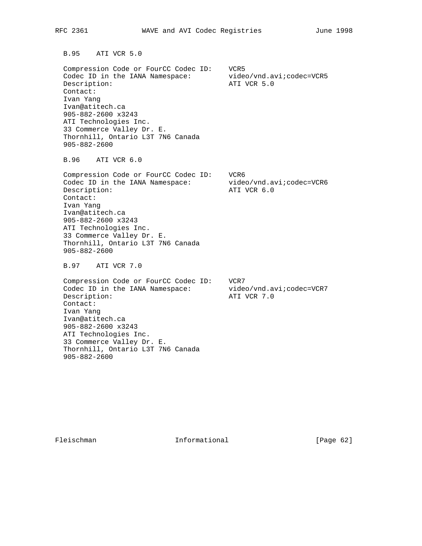B.95 ATI VCR 5.0 Compression Code or FourCC Codec ID: VCR5 Codec ID in the IANA Namespace: video/vnd.avi; codec=VCR5 Description:  $\blacksquare$  ATI VCR 5.0 Contact: Ivan Yang Ivan@atitech.ca 905-882-2600 x3243 ATI Technologies Inc. 33 Commerce Valley Dr. E. Thornhill, Ontario L3T 7N6 Canada 905-882-2600 B.96 ATI VCR 6.0 Compression Code or FourCC Codec ID: VCR6 Codec ID in the IANA Namespace: video/vnd.avi;codec=VCR6 Description:  $\blacksquare$  ATI VCR 6.0 Contact: Ivan Yang Ivan@atitech.ca 905-882-2600 x3243 ATI Technologies Inc. 33 Commerce Valley Dr. E. Thornhill, Ontario L3T 7N6 Canada 905-882-2600 B.97 ATI VCR 7.0 Compression Code or FourCC Codec ID: VCR7 Codec ID in the IANA Namespace: video/vnd.avi; codec=VCR7 Description:  $\overline{A}$  ATI VCR 7.0 Contact: Ivan Yang Ivan@atitech.ca 905-882-2600 x3243 ATI Technologies Inc. 33 Commerce Valley Dr. E. Thornhill, Ontario L3T 7N6 Canada

905-882-2600

Fleischman 1nformational [Page 62]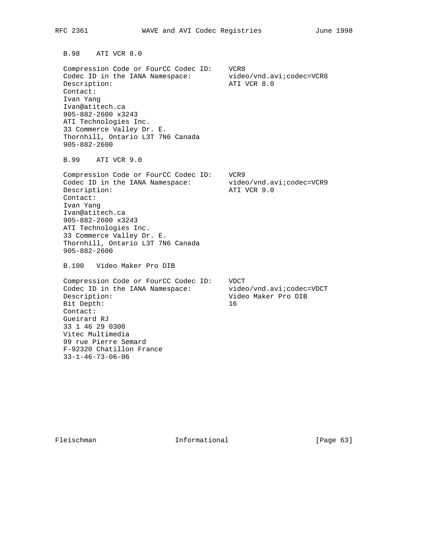B.98 ATI VCR 8.0 Compression Code or FourCC Codec ID: VCR8 Codec ID in the IANA Namespace: video/vnd.avi; codec=VCR8 Description:  $\overline{A}$  ATI VCR 8.0 Contact: Ivan Yang Ivan@atitech.ca 905-882-2600 x3243 ATI Technologies Inc. 33 Commerce Valley Dr. E. Thornhill, Ontario L3T 7N6 Canada 905-882-2600 B.99 ATI VCR 9.0 Compression Code or FourCC Codec ID: VCR9 Codec ID in the IANA Namespace: video/vnd.avi;codec=VCR9 Description:  $\begin{array}{ccc} \hbox{ATI} & \hbox{VCR} & \hbox{9.0} \end{array}$  Contact: Ivan Yang Ivan@atitech.ca 905-882-2600 x3243 ATI Technologies Inc. 33 Commerce Valley Dr. E. Thornhill, Ontario L3T 7N6 Canada 905-882-2600 B.100 Video Maker Pro DIB Compression Code or FourCC Codec ID: VDCT Codec ID in the IANA Namespace: video/vnd.avi;codec=VDCT Description: Video Maker Pro DIB Bit Depth: 16 Contact: Gueirard RJ 33 1 46 29 0300 Vitec Multimedia 99 rue Pierre Semard F-92320 Chatillon France 33-1-46-73-06-06

Fleischman Informational [Page 63]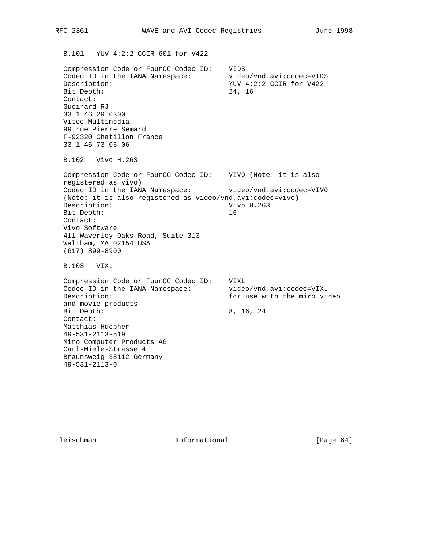B.101 YUV 4:2:2 CCIR 601 for V422

 Compression Code or FourCC Codec ID: VIDS Codec ID in the IANA Namespace: video/vnd.avi;codec=VIDS<br>Description: YUV 4:2:2 CCIR for V422 YUV 4:2:2 CCIR for V422 Bit Depth: 24, 16 Contact: Gueirard RJ 33 1 46 29 0300 Vitec Multimedia 99 rue Pierre Semard F-92320 Chatillon France 33-1-46-73-06-06

B.102 Vivo H.263

 Compression Code or FourCC Codec ID: VIVO (Note: it is also registered as vivo) Codec ID in the IANA Namespace: video/vnd.avi;codec=VIVO (Note: it is also registered as video/vnd.avi;codec=vivo) Description: Vivo H.263 Bit Depth: 16 Contact: Vivo Software 411 Waverley Oaks Road, Suite 313 Waltham, MA 02154 USA (617) 899-8900

B.103 VIXL

 Compression Code or FourCC Codec ID: VIXL Codec ID in the IANA Namespace: video/vnd.avi;codec=VIXL Description: for use with the miro video and movie products Bit Depth: 8, 16, 24 Contact: Matthias Huebner 49-531-2113-519 Miro Computer Products AG Carl-Miele-Strasse 4 Braunsweig 38112 Germany 49-531-2113-0

Fleischman 10 Informational [Page 64]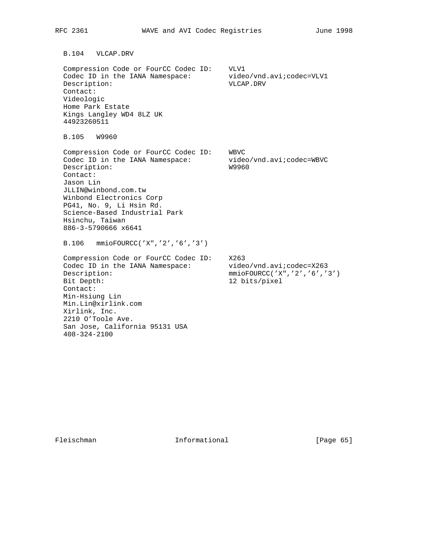B.104 VLCAP.DRV Compression Code or FourCC Codec ID: VLV1 Codec ID in the IANA Namespace: video/vnd.avi; codec=VLV1 Description: VLCAP.DRV Contact: Videologic Home Park Estate Kings Langley WD4 8LZ UK 44923260511 B.105 W9960 Compression Code or FourCC Codec ID: WBVC Codec ID in the IANA Namespace: video/vnd.avi;codec=WBVC Description: W9960 Contact: Jason Lin JLLIN@winbond.com.tw Winbond Electronics Corp PG41, No. 9, Li Hsin Rd. Science-Based Industrial Park Hsinchu, Taiwan 886-3-5790666 x6641 B.106 mmioFOURCC('X",'2','6','3') Compression Code or FourCC Codec ID: X263 Codec ID in the IANA Namespace: video/vnd.avi; codec=X263 Description: mmioFOURCC('X",'2','6','3') Bit Depth: 12 bits/pixel Contact: Min-Hsiung Lin Min.Lin@xirlink.com Xirlink, Inc. 2210 O'Toole Ave. San Jose, California 95131 USA 408-324-2100

Fleischman Informational [Page 65]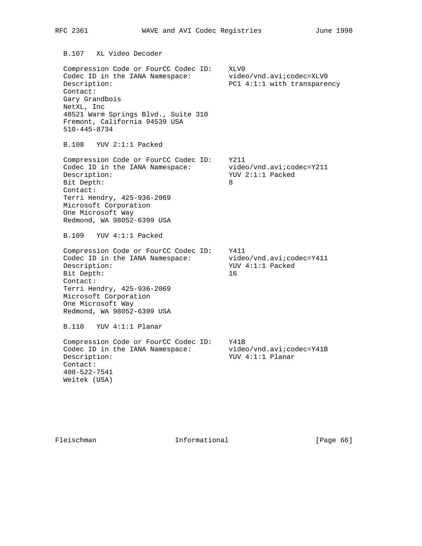B.107 XL Video Decoder Compression Code or FourCC Codec ID: XLV0 Codec ID in the IANA Namespace: video/vnd.avi;codec=XLV0 Description: PC1 4:1:1 with transparency Contact: Gary Grandbois NetXL, Inc 48521 Warm Springs Blvd., Suite 310 Fremont, California 94539 USA 510-445-8734 B.108 YUV 2:1:1 Packed Compression Code or FourCC Codec ID: Y211 Codec ID in the IANA Namespace: video/vnd.avi; codec=Y211 Description: YUV 2:1:1 Packed Bit Depth: 8 Contact: Terri Hendry, 425-936-2069 Microsoft Corporation One Microsoft Way Redmond, WA 98052-6399 USA B.109 YUV 4:1:1 Packed Compression Code or FourCC Codec ID: Y411 Codec ID in the IANA Namespace: video/vnd.avi;codec=Y411 Description:  $YUV 4:1:1$  Packed Bit Depth: 16 Contact: Terri Hendry, 425-936-2069 Microsoft Corporation One Microsoft Way Redmond, WA 98052-6399 USA B.110 YUV 4:1:1 Planar Compression Code or FourCC Codec ID: Y41B Codec ID in the IANA Namespace: video/vnd.avi; codec=Y41B Description:  $YUV$  4:1:1 Planar Contact: 408-522-7541 Weitek (USA)

Fleischman 1nformational [Page 66]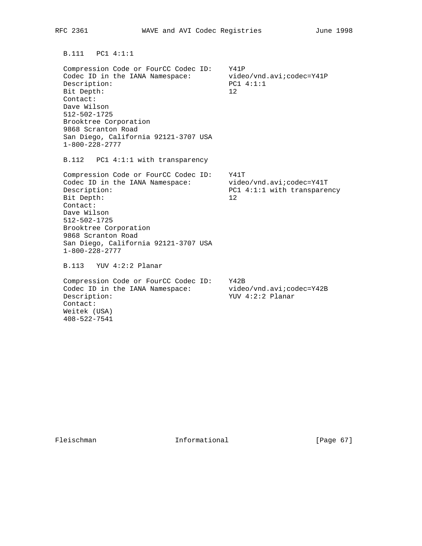B.111 PC1 4:1:1

 Compression Code or FourCC Codec ID: Y41P Codec ID in the IANA Namespace: video/vnd.avi; codec=Y41P Description: PC1 4:1:1 Bit Depth: 12 Contact: Dave Wilson 512-502-1725 Brooktree Corporation 9868 Scranton Road San Diego, California 92121-3707 USA 1-800-228-2777

B.112 PC1 4:1:1 with transparency

 Compression Code or FourCC Codec ID: Y41T Codec ID in the IANA Namespace: video/vnd.avi;codec=Y41T Description: PC1 4:1:1 with transparency Bit Depth: 12 Contact: Dave Wilson 512-502-1725 Brooktree Corporation 9868 Scranton Road San Diego, California 92121-3707 USA 1-800-228-2777

B.113 YUV 4:2:2 Planar

 Compression Code or FourCC Codec ID: Y42B Codec ID in the IANA Namespace: video/vnd.avi; codec=Y42B Description:  $YUV$  4:2:2 Planar Contact: Weitek (USA) 408-522-7541

Fleischman Informational [Page 67]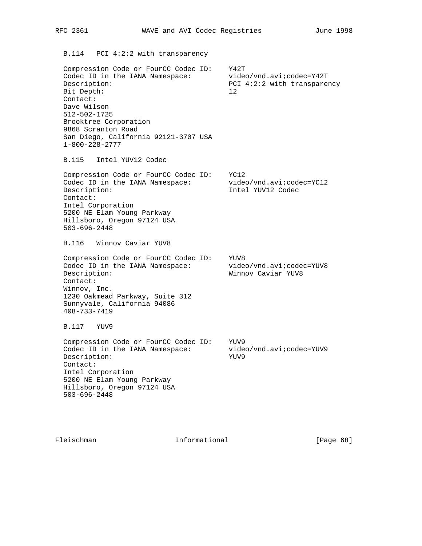B.114 PCI 4:2:2 with transparency

 Compression Code or FourCC Codec ID: Y42T Codec ID in the IANA Namespace: video/vnd.avi;codec=Y42T Description: PCI 4:2:2 with transparency Bit Depth: 12 Contact: Dave Wilson 512-502-1725 Brooktree Corporation 9868 Scranton Road San Diego, California 92121-3707 USA 1-800-228-2777

B.115 Intel YUV12 Codec

 Compression Code or FourCC Codec ID: YC12 Codec ID in the IANA Namespace: video/vnd.avi;codec=YC12 Description: Intel YUV12 Codec Contact: Intel Corporation 5200 NE Elam Young Parkway Hillsboro, Oregon 97124 USA 503-696-2448

B.116 Winnov Caviar YUV8

 Compression Code or FourCC Codec ID: YUV8 Codec ID in the IANA Namespace: video/vnd.avi;codec=YUV8 Description: Winnov Caviar YUV8 Contact: Winnov, Inc. 1230 Oakmead Parkway, Suite 312 Sunnyvale, California 94086 408-733-7419

B.117 YUV9

 Compression Code or FourCC Codec ID: YUV9 Codec ID in the IANA Namespace: video/vnd.avi;codec=YUV9 Description: YUV9 Contact: Intel Corporation 5200 NE Elam Young Parkway Hillsboro, Oregon 97124 USA 503-696-2448

Fleischman 1nformational [Page 68]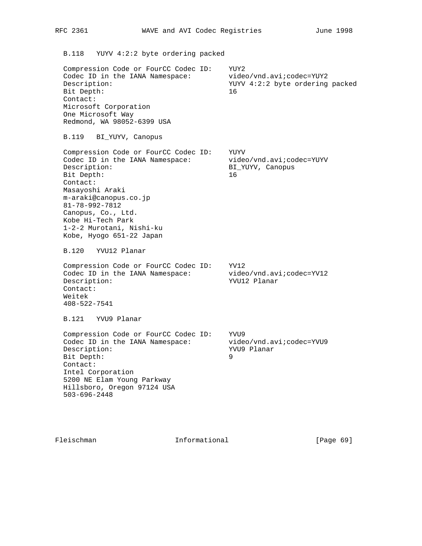B.118 YUYV 4:2:2 byte ordering packed

 Compression Code or FourCC Codec ID: YUY2 Codec ID in the IANA Namespace: video/vnd.avi;codec=YUY2 Description: YUYV 4:2:2 byte ordering packed Bit Depth: 16 Contact: Microsoft Corporation One Microsoft Way Redmond, WA 98052-6399 USA

B.119 BI\_YUYV, Canopus

 Compression Code or FourCC Codec ID: YUYV Codec ID in the IANA Namespace: video/vnd.avi;codec=YUYV Description: BI\_YUYV, Canopus Bit Depth: 16 Contact: Masayoshi Araki m-araki@canopus.co.jp 81-78-992-7812 Canopus, Co., Ltd. Kobe Hi-Tech Park 1-2-2 Murotani, Nishi-ku Kobe, Hyogo 651-22 Japan

B.120 YVU12 Planar

 Compression Code or FourCC Codec ID: YV12 Codec ID in the IANA Namespace: video/vnd.avi;codec=YV12 Description:  $YVU12$  Planar Contact: Weitek 408-522-7541

B.121 YVU9 Planar

Compression Code or FourCC Codec ID: YVU9 Codec ID in the IANA Namespace: video/vnd.avi;codec=YVU9 Description: YVU9 Planar Bit Depth: 9 Contact: Intel Corporation 5200 NE Elam Young Parkway Hillsboro, Oregon 97124 USA 503-696-2448

Fleischman 10 Informational [Page 69]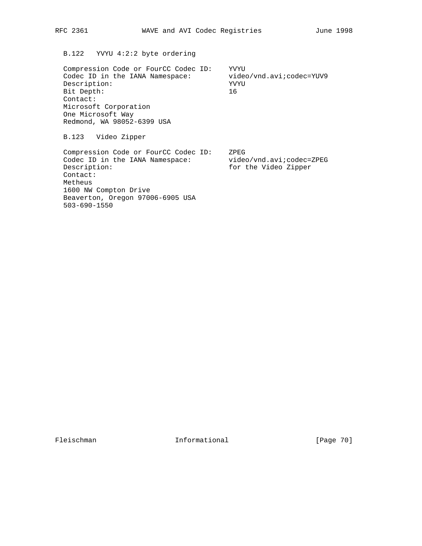# B.122 YVYU 4:2:2 byte ordering

 Compression Code or FourCC Codec ID: YVYU Codec ID in the IANA Namespace: video/vnd.avi;codec=YUV9 Description: YVYU<br>Bit Depth: 16 Bit Depth: Contact: Microsoft Corporation One Microsoft Way Redmond, WA 98052-6399 USA

B.123 Video Zipper

 Compression Code or FourCC Codec ID: ZPEG Codec ID in the IANA Namespace: video/vnd.avi;codec=ZPEG Description: for the Video Zipper Contact: Metheus 1600 NW Compton Drive Beaverton, Oregon 97006-6905 USA 503-690-1550

Fleischman Informational [Page 70]